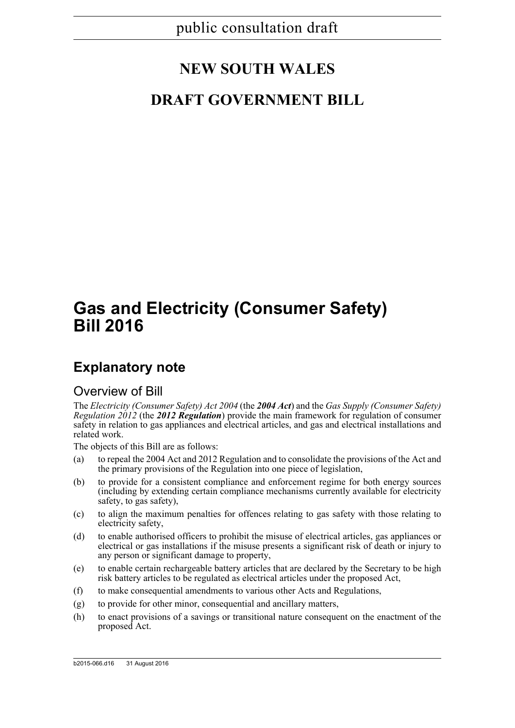# **NEW SOUTH WALES**

## **DRAFT GOVERNMENT BILL**

# **Gas and Electricity (Consumer Safety) Bill 2016**

## **Explanatory note**

### Overview of Bill

The *Electricity (Consumer Safety) Act 2004* (the *2004 Act*) and the *Gas Supply (Consumer Safety) Regulation 2012* (the *2012 Regulation*) provide the main framework for regulation of consumer safety in relation to gas appliances and electrical articles, and gas and electrical installations and related work.

The objects of this Bill are as follows:

- (a) to repeal the 2004 Act and 2012 Regulation and to consolidate the provisions of the Act and the primary provisions of the Regulation into one piece of legislation,
- (b) to provide for a consistent compliance and enforcement regime for both energy sources (including by extending certain compliance mechanisms currently available for electricity safety, to gas safety),
- (c) to align the maximum penalties for offences relating to gas safety with those relating to electricity safety,
- (d) to enable authorised officers to prohibit the misuse of electrical articles, gas appliances or electrical or gas installations if the misuse presents a significant risk of death or injury to any person or significant damage to property,
- (e) to enable certain rechargeable battery articles that are declared by the Secretary to be high risk battery articles to be regulated as electrical articles under the proposed Act,
- (f) to make consequential amendments to various other Acts and Regulations,
- (g) to provide for other minor, consequential and ancillary matters,
- (h) to enact provisions of a savings or transitional nature consequent on the enactment of the proposed Act.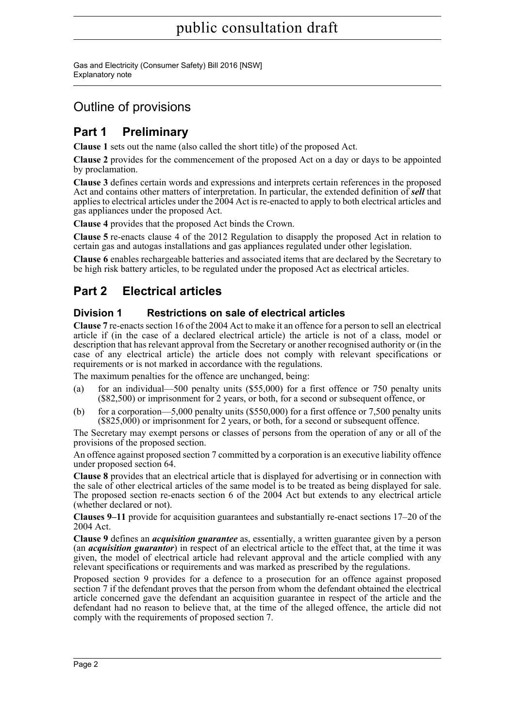Gas and Electricity (Consumer Safety) Bill 2016 [NSW] Explanatory note

### Outline of provisions

### **Part 1 Preliminary**

**Clause 1** sets out the name (also called the short title) of the proposed Act.

**Clause 2** provides for the commencement of the proposed Act on a day or days to be appointed by proclamation.

**Clause 3** defines certain words and expressions and interprets certain references in the proposed Act and contains other matters of interpretation. In particular, the extended definition of *sell* that applies to electrical articles under the 2004 Act is re-enacted to apply to both electrical articles and gas appliances under the proposed Act.

**Clause 4** provides that the proposed Act binds the Crown.

**Clause 5** re-enacts clause 4 of the 2012 Regulation to disapply the proposed Act in relation to certain gas and autogas installations and gas appliances regulated under other legislation.

**Clause 6** enables rechargeable batteries and associated items that are declared by the Secretary to be high risk battery articles, to be regulated under the proposed Act as electrical articles.

### **Part 2 Electrical articles**

#### **Division 1 Restrictions on sale of electrical articles**

**Clause 7** re-enacts section 16 of the 2004 Act to make it an offence for a person to sell an electrical article if (in the case of a declared electrical article) the article is not of a class, model or description that has relevant approval from the Secretary or another recognised authority or (in the case of any electrical article) the article does not comply with relevant specifications or requirements or is not marked in accordance with the regulations.

The maximum penalties for the offence are unchanged, being:

- (a) for an individual—500 penalty units (\$55,000) for a first offence or 750 penalty units (\$82,500) or imprisonment for 2 years, or both, for a second or subsequent offence, or
- (b) for a corporation—5,000 penalty units  $(\$550,000)$  for a first offence or 7,500 penalty units (\$825,000) or imprisonment for 2 years, or both, for a second or subsequent offence.

The Secretary may exempt persons or classes of persons from the operation of any or all of the provisions of the proposed section.

An offence against proposed section 7 committed by a corporation is an executive liability offence under proposed section 64.

**Clause 8** provides that an electrical article that is displayed for advertising or in connection with the sale of other electrical articles of the same model is to be treated as being displayed for sale. The proposed section re-enacts section 6 of the 2004 Act but extends to any electrical article (whether declared or not).

**Clauses 9–11** provide for acquisition guarantees and substantially re-enact sections 17–20 of the 2004 Act.

**Clause 9** defines an *acquisition guarantee* as, essentially, a written guarantee given by a person (an *acquisition guarantor*) in respect of an electrical article to the effect that, at the time it was given, the model of electrical article had relevant approval and the article complied with any relevant specifications or requirements and was marked as prescribed by the regulations.

Proposed section 9 provides for a defence to a prosecution for an offence against proposed section 7 if the defendant proves that the person from whom the defendant obtained the electrical article concerned gave the defendant an acquisition guarantee in respect of the article and the defendant had no reason to believe that, at the time of the alleged offence, the article did not comply with the requirements of proposed section 7.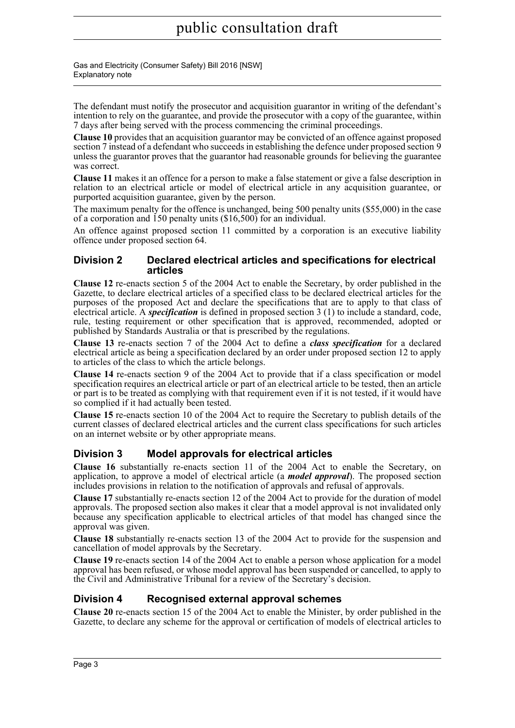Gas and Electricity (Consumer Safety) Bill 2016 [NSW] Explanatory note

The defendant must notify the prosecutor and acquisition guarantor in writing of the defendant's intention to rely on the guarantee, and provide the prosecutor with a copy of the guarantee, within 7 days after being served with the process commencing the criminal proceedings.

**Clause 10** provides that an acquisition guarantor may be convicted of an offence against proposed section 7 instead of a defendant who succeeds in establishing the defence under proposed section 9 unless the guarantor proves that the guarantor had reasonable grounds for believing the guarantee was correct.

**Clause 11** makes it an offence for a person to make a false statement or give a false description in relation to an electrical article or model of electrical article in any acquisition guarantee, or purported acquisition guarantee, given by the person.

The maximum penalty for the offence is unchanged, being 500 penalty units (\$55,000) in the case of a corporation and  $\overline{150}$  penalty units  $(\$16,500)$  for an individual.

An offence against proposed section 11 committed by a corporation is an executive liability offence under proposed section 64.

#### **Division 2 Declared electrical articles and specifications for electrical articles**

**Clause 12** re-enacts section 5 of the 2004 Act to enable the Secretary, by order published in the Gazette, to declare electrical articles of a specified class to be declared electrical articles for the purposes of the proposed Act and declare the specifications that are to apply to that class of electrical article. A *specification* is defined in proposed section 3 (1) to include a standard, code, rule, testing requirement or other specification that is approved, recommended, adopted or published by Standards Australia or that is prescribed by the regulations.

**Clause 13** re-enacts section 7 of the 2004 Act to define a *class specification* for a declared electrical article as being a specification declared by an order under proposed section 12 to apply to articles of the class to which the article belongs.

**Clause 14** re-enacts section 9 of the 2004 Act to provide that if a class specification or model specification requires an electrical article or part of an electrical article to be tested, then an article or part is to be treated as complying with that requirement even if it is not tested, if it would have so complied if it had actually been tested.

**Clause 15** re-enacts section 10 of the 2004 Act to require the Secretary to publish details of the current classes of declared electrical articles and the current class specifications for such articles on an internet website or by other appropriate means.

#### **Division 3 Model approvals for electrical articles**

**Clause 16** substantially re-enacts section 11 of the 2004 Act to enable the Secretary, on application, to approve a model of electrical article (a *model approval*). The proposed section includes provisions in relation to the notification of approvals and refusal of approvals.

**Clause 17** substantially re-enacts section 12 of the 2004 Act to provide for the duration of model approvals. The proposed section also makes it clear that a model approval is not invalidated only because any specification applicable to electrical articles of that model has changed since the approval was given.

**Clause 18** substantially re-enacts section 13 of the 2004 Act to provide for the suspension and cancellation of model approvals by the Secretary.

**Clause 19** re-enacts section 14 of the 2004 Act to enable a person whose application for a model approval has been refused, or whose model approval has been suspended or cancelled, to apply to the Civil and Administrative Tribunal for a review of the Secretary's decision.

#### **Division 4 Recognised external approval schemes**

**Clause 20** re-enacts section 15 of the 2004 Act to enable the Minister, by order published in the Gazette, to declare any scheme for the approval or certification of models of electrical articles to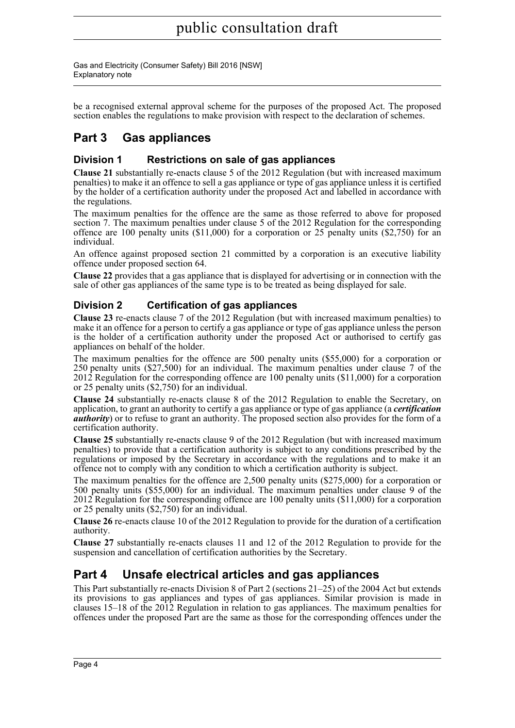Gas and Electricity (Consumer Safety) Bill 2016 [NSW] Explanatory note

be a recognised external approval scheme for the purposes of the proposed Act. The proposed section enables the regulations to make provision with respect to the declaration of schemes.

### **Part 3 Gas appliances**

#### **Division 1 Restrictions on sale of gas appliances**

**Clause 21** substantially re-enacts clause 5 of the 2012 Regulation (but with increased maximum penalties) to make it an offence to sell a gas appliance or type of gas appliance unless it is certified by the holder of a certification authority under the proposed Act and labelled in accordance with the regulations.

The maximum penalties for the offence are the same as those referred to above for proposed section 7. The maximum penalties under clause 5 of the 2012 Regulation for the corresponding offence are 100 penalty units  $(S11,000)$  for a corporation or 25 penalty units  $(S2,750)$  for an individual.

An offence against proposed section 21 committed by a corporation is an executive liability offence under proposed section 64.

**Clause 22** provides that a gas appliance that is displayed for advertising or in connection with the sale of other gas appliances of the same type is to be treated as being displayed for sale.

#### **Division 2 Certification of gas appliances**

**Clause 23** re-enacts clause 7 of the 2012 Regulation (but with increased maximum penalties) to make it an offence for a person to certify a gas appliance or type of gas appliance unless the person is the holder of a certification authority under the proposed Act or authorised to certify gas appliances on behalf of the holder.

The maximum penalties for the offence are 500 penalty units (\$55,000) for a corporation or 250 penalty units (\$27,500) for an individual. The maximum penalties under clause 7 of the 2012 Regulation for the corresponding offence are 100 penalty units (\$11,000) for a corporation or 25 penalty units (\$2,750) for an individual.

**Clause 24** substantially re-enacts clause 8 of the 2012 Regulation to enable the Secretary, on application, to grant an authority to certify a gas appliance or type of gas appliance (a *certification authority*) or to refuse to grant an authority. The proposed section also provides for the form of a certification authority.

**Clause 25** substantially re-enacts clause 9 of the 2012 Regulation (but with increased maximum penalties) to provide that a certification authority is subject to any conditions prescribed by the regulations or imposed by the Secretary in accordance with the regulations and to make it an offence not to comply with any condition to which a certification authority is subject.

The maximum penalties for the offence are 2,500 penalty units (\$275,000) for a corporation or 500 penalty units (\$55,000) for an individual. The maximum penalties under clause 9 of the 2012 Regulation for the corresponding offence are 100 penalty units (\$11,000) for a corporation or 25 penalty units (\$2,750) for an individual.

**Clause 26** re-enacts clause 10 of the 2012 Regulation to provide for the duration of a certification authority.

**Clause 27** substantially re-enacts clauses 11 and 12 of the 2012 Regulation to provide for the suspension and cancellation of certification authorities by the Secretary.

### **Part 4 Unsafe electrical articles and gas appliances**

This Part substantially re-enacts Division 8 of Part 2 (sections 21–25) of the 2004 Act but extends its provisions to gas appliances and types of gas appliances. Similar provision is made in clauses 15–18 of the 2012 Regulation in relation to gas appliances. The maximum penalties for offences under the proposed Part are the same as those for the corresponding offences under the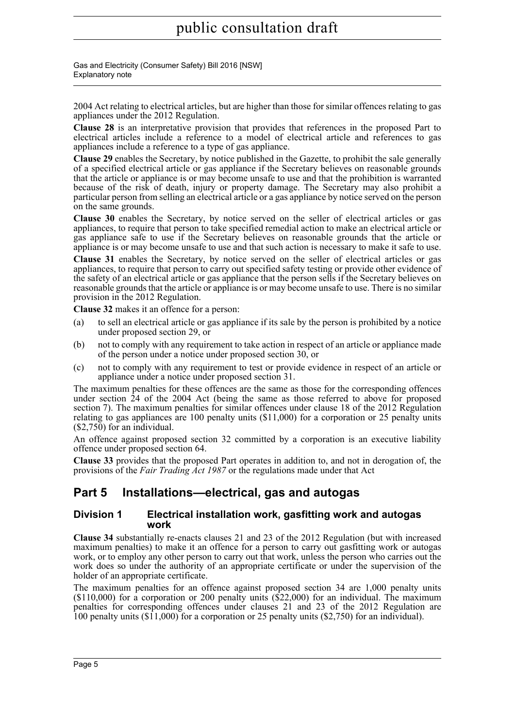Gas and Electricity (Consumer Safety) Bill 2016 [NSW] Explanatory note

2004 Act relating to electrical articles, but are higher than those for similar offences relating to gas appliances under the 2012 Regulation.

**Clause 28** is an interpretative provision that provides that references in the proposed Part to electrical articles include a reference to a model of electrical article and references to gas appliances include a reference to a type of gas appliance.

**Clause 29** enables the Secretary, by notice published in the Gazette, to prohibit the sale generally of a specified electrical article or gas appliance if the Secretary believes on reasonable grounds that the article or appliance is or may become unsafe to use and that the prohibition is warranted because of the risk of death, injury or property damage. The Secretary may also prohibit a particular person from selling an electrical article or a gas appliance by notice served on the person on the same grounds.

**Clause 30** enables the Secretary, by notice served on the seller of electrical articles or gas appliances, to require that person to take specified remedial action to make an electrical article or gas appliance safe to use if the Secretary believes on reasonable grounds that the article or appliance is or may become unsafe to use and that such action is necessary to make it safe to use.

**Clause 31** enables the Secretary, by notice served on the seller of electrical articles or gas appliances, to require that person to carry out specified safety testing or provide other evidence of the safety of an electrical article or gas appliance that the person sells if the Secretary believes on reasonable grounds that the article or appliance is or may become unsafe to use. There is no similar provision in the 2012 Regulation.

**Clause 32** makes it an offence for a person:

- (a) to sell an electrical article or gas appliance if its sale by the person is prohibited by a notice under proposed section 29, or
- (b) not to comply with any requirement to take action in respect of an article or appliance made of the person under a notice under proposed section 30, or
- (c) not to comply with any requirement to test or provide evidence in respect of an article or appliance under a notice under proposed section 31.

The maximum penalties for these offences are the same as those for the corresponding offences under section 24 of the 2004 Act (being the same as those referred to above for proposed section 7). The maximum penalties for similar offences under clause 18 of the 2012 Regulation relating to gas appliances are 100 penalty units (\$11,000) for a corporation or 25 penalty units (\$2,750) for an individual.

An offence against proposed section 32 committed by a corporation is an executive liability offence under proposed section 64.

**Clause 33** provides that the proposed Part operates in addition to, and not in derogation of, the provisions of the *Fair Trading Act 1987* or the regulations made under that Act

### **Part 5 Installations—electrical, gas and autogas**

#### **Division 1 Electrical installation work, gasfitting work and autogas work**

**Clause 34** substantially re-enacts clauses 21 and 23 of the 2012 Regulation (but with increased maximum penalties) to make it an offence for a person to carry out gasfitting work or autogas work, or to employ any other person to carry out that work, unless the person who carries out the work does so under the authority of an appropriate certificate or under the supervision of the holder of an appropriate certificate.

The maximum penalties for an offence against proposed section 34 are 1,000 penalty units  $($110,000)$  for a corporation or 200 penalty units  $($22,000)$  for an individual. The maximum penalties for corresponding offences under clauses 21 and 23 of the 2012 Regulation are 100 penalty units (\$11,000) for a corporation or 25 penalty units (\$2,750) for an individual).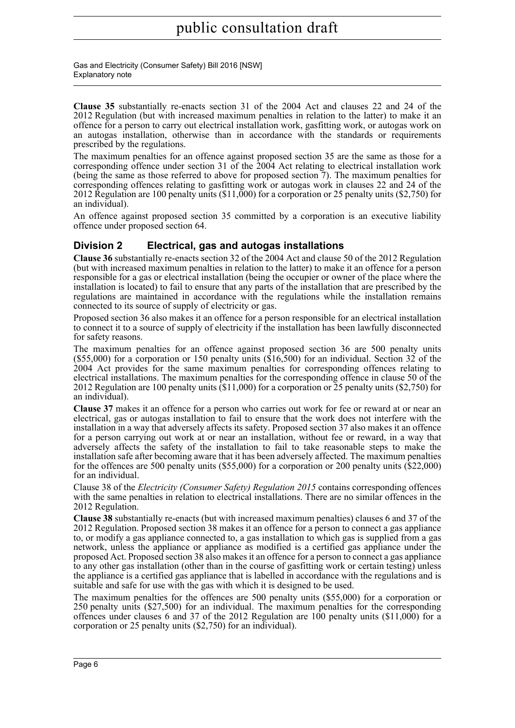Gas and Electricity (Consumer Safety) Bill 2016 [NSW] Explanatory note

**Clause 35** substantially re-enacts section 31 of the 2004 Act and clauses 22 and 24 of the 2012 Regulation (but with increased maximum penalties in relation to the latter) to make it an offence for a person to carry out electrical installation work, gasfitting work, or autogas work on an autogas installation, otherwise than in accordance with the standards or requirements prescribed by the regulations.

The maximum penalties for an offence against proposed section 35 are the same as those for a corresponding offence under section 31 of the 2004 Act relating to electrical installation work (being the same as those referred to above for proposed section 7). The maximum penalties for corresponding offences relating to gasfitting work or autogas work in clauses 22 and 24 of the 2012 Regulation are 100 penalty units (\$11,000) for a corporation or 25 penalty units (\$2,750) for an individual).

An offence against proposed section 35 committed by a corporation is an executive liability offence under proposed section 64.

#### **Division 2 Electrical, gas and autogas installations**

**Clause 36** substantially re-enacts section 32 of the 2004 Act and clause 50 of the 2012 Regulation (but with increased maximum penalties in relation to the latter) to make it an offence for a person responsible for a gas or electrical installation (being the occupier or owner of the place where the installation is located) to fail to ensure that any parts of the installation that are prescribed by the regulations are maintained in accordance with the regulations while the installation remains connected to its source of supply of electricity or gas.

Proposed section 36 also makes it an offence for a person responsible for an electrical installation to connect it to a source of supply of electricity if the installation has been lawfully disconnected for safety reasons.

The maximum penalties for an offence against proposed section 36 are 500 penalty units (\$55,000) for a corporation or 150 penalty units (\$16,500) for an individual. Section 32 of the 2004 Act provides for the same maximum penalties for corresponding offences relating to electrical installations. The maximum penalties for the corresponding offence in clause 50 of the 2012 Regulation are 100 penalty units  $(11,000)$  for a corporation or  $\tilde{2}5$  penalty units (\$2,750) for an individual).

**Clause 37** makes it an offence for a person who carries out work for fee or reward at or near an electrical, gas or autogas installation to fail to ensure that the work does not interfere with the installation in a way that adversely affects its safety. Proposed section 37 also makes it an offence for a person carrying out work at or near an installation, without fee or reward, in a way that adversely affects the safety of the installation to fail to take reasonable steps to make the installation safe after becoming aware that it has been adversely affected. The maximum penalties for the offences are 500 penalty units (\$55,000) for a corporation or 200 penalty units (\$22,000) for an individual.

Clause 38 of the *Electricity (Consumer Safety) Regulation 2015* contains corresponding offences with the same penalties in relation to electrical installations. There are no similar offences in the 2012 Regulation.

**Clause 38** substantially re-enacts (but with increased maximum penalties) clauses 6 and 37 of the 2012 Regulation. Proposed section 38 makes it an offence for a person to connect a gas appliance to, or modify a gas appliance connected to, a gas installation to which gas is supplied from a gas network, unless the appliance or appliance as modified is a certified gas appliance under the proposed Act. Proposed section 38 also makes it an offence for a person to connect a gas appliance to any other gas installation (other than in the course of gasfitting work or certain testing) unless the appliance is a certified gas appliance that is labelled in accordance with the regulations and is suitable and safe for use with the gas with which it is designed to be used.

The maximum penalties for the offences are 500 penalty units (\$55,000) for a corporation or 250 penalty units (\$27,500) for an individual. The maximum penalties for the corresponding offences under clauses 6 and 37 of the 2012 Regulation are 100 penalty units (\$11,000) for a corporation or 25 penalty units (\$2,750) for an individual).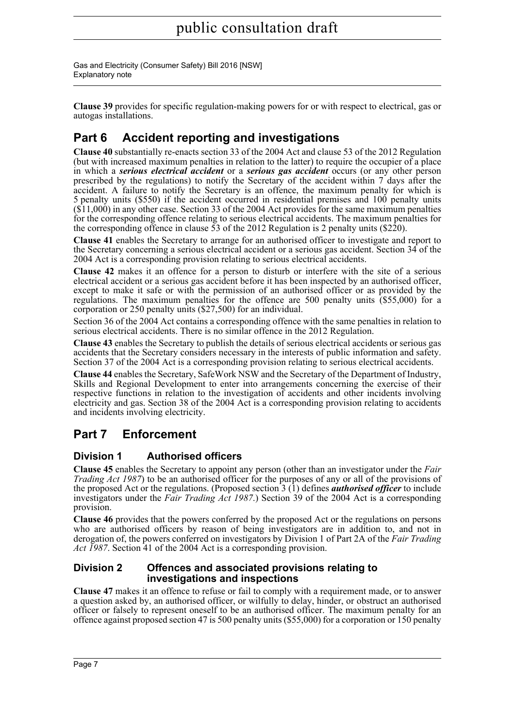Gas and Electricity (Consumer Safety) Bill 2016 [NSW] Explanatory note

**Clause 39** provides for specific regulation-making powers for or with respect to electrical, gas or autogas installations.

### **Part 6 Accident reporting and investigations**

**Clause 40** substantially re-enacts section 33 of the 2004 Act and clause 53 of the 2012 Regulation (but with increased maximum penalties in relation to the latter) to require the occupier of a place in which a *serious electrical accident* or a *serious gas accident* occurs (or any other person prescribed by the regulations) to notify the Secretary of the accident within  $7$  days after the accident. A failure to notify the Secretary is an offence, the maximum penalty for which is 5 penalty units (\$550) if the accident occurred in residential premises and 100 penalty units  $(\$11,000)$  in any other case. Section 33 of the 2004 Act provides for the same maximum penalties for the corresponding offence relating to serious electrical accidents. The maximum penalties for the corresponding offence in clause  $\bar{5}3$  of the 2012 Regulation is 2 penalty units (\$220).

**Clause 41** enables the Secretary to arrange for an authorised officer to investigate and report to the Secretary concerning a serious electrical accident or a serious gas accident. Section 34 of the 2004 Act is a corresponding provision relating to serious electrical accidents.

**Clause 42** makes it an offence for a person to disturb or interfere with the site of a serious electrical accident or a serious gas accident before it has been inspected by an authorised officer, except to make it safe or with the permission of an authorised officer or as provided by the regulations. The maximum penalties for the offence are 500 penalty units (\$55,000) for a corporation or 250 penalty units (\$27,500) for an individual.

Section 36 of the 2004 Act contains a corresponding offence with the same penalties in relation to serious electrical accidents. There is no similar offence in the 2012 Regulation.

**Clause 43** enables the Secretary to publish the details of serious electrical accidents or serious gas accidents that the Secretary considers necessary in the interests of public information and safety. Section 37 of the 2004 Act is a corresponding provision relating to serious electrical accidents.

**Clause 44** enables the Secretary, SafeWork NSW and the Secretary of the Department of Industry, Skills and Regional Development to enter into arrangements concerning the exercise of their respective functions in relation to the investigation of accidents and other incidents involving electricity and gas. Section 38 of the 2004 Act is a corresponding provision relating to accidents and incidents involving electricity.

### **Part 7 Enforcement**

#### **Division 1 Authorised officers**

**Clause 45** enables the Secretary to appoint any person (other than an investigator under the *Fair Trading Act 1987*) to be an authorised officer for the purposes of any or all of the provisions of the proposed Act or the regulations. (Proposed section 3 (1) defines *authorised officer* to include investigators under the *Fair Trading Act 1987*.) Section 39 of the 2004 Act is a corresponding provision.

**Clause 46** provides that the powers conferred by the proposed Act or the regulations on persons who are authorised officers by reason of being investigators are in addition to, and not in derogation of, the powers conferred on investigators by Division 1 of Part 2A of the *Fair Trading Act 1987*. Section 41 of the 2004 Act is a corresponding provision.

#### **Division 2 Offences and associated provisions relating to investigations and inspections**

**Clause 47** makes it an offence to refuse or fail to comply with a requirement made, or to answer a question asked by, an authorised officer, or wilfully to delay, hinder, or obstruct an authorised officer or falsely to represent oneself to be an authorised officer. The maximum penalty for an offence against proposed section 47 is 500 penalty units (\$55,000) for a corporation or 150 penalty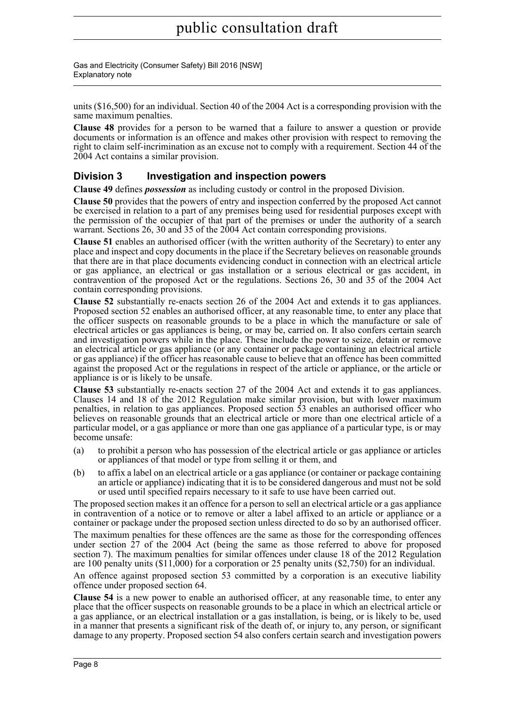Gas and Electricity (Consumer Safety) Bill 2016 [NSW] Explanatory note

units (\$16,500) for an individual. Section 40 of the 2004 Act is a corresponding provision with the same maximum penalties.

**Clause 48** provides for a person to be warned that a failure to answer a question or provide documents or information is an offence and makes other provision with respect to removing the right to claim self-incrimination as an excuse not to comply with a requirement. Section 44 of the 2004 Act contains a similar provision.

#### **Division 3 Investigation and inspection powers**

**Clause 49** defines *possession* as including custody or control in the proposed Division.

**Clause 50** provides that the powers of entry and inspection conferred by the proposed Act cannot be exercised in relation to a part of any premises being used for residential purposes except with the permission of the occupier of that part of the premises or under the authority of a search warrant. Sections 26, 30 and 35 of the 2004 Act contain corresponding provisions.

**Clause 51** enables an authorised officer (with the written authority of the Secretary) to enter any place and inspect and copy documents in the place if the Secretary believes on reasonable grounds that there are in that place documents evidencing conduct in connection with an electrical article or gas appliance, an electrical or gas installation or a serious electrical or gas accident, in contravention of the proposed Act or the regulations. Sections 26, 30 and 35 of the 2004 Act contain corresponding provisions.

**Clause 52** substantially re-enacts section 26 of the 2004 Act and extends it to gas appliances. Proposed section 52 enables an authorised officer, at any reasonable time, to enter any place that the officer suspects on reasonable grounds to be a place in which the manufacture or sale of electrical articles or gas appliances is being, or may be, carried on. It also confers certain search and investigation powers while in the place. These include the power to seize, detain or remove an electrical article or gas appliance (or any container or package containing an electrical article or gas appliance) if the officer has reasonable cause to believe that an offence has been committed against the proposed Act or the regulations in respect of the article or appliance, or the article or appliance is or is likely to be unsafe.

**Clause 53** substantially re-enacts section 27 of the 2004 Act and extends it to gas appliances. Clauses 14 and 18 of the 2012 Regulation make similar provision, but with lower maximum penalties, in relation to gas appliances. Proposed section  $\overline{53}$  enables an authorised officer who believes on reasonable grounds that an electrical article or more than one electrical article of a particular model, or a gas appliance or more than one gas appliance of a particular type, is or may become unsafe:

- (a) to prohibit a person who has possession of the electrical article or gas appliance or articles or appliances of that model or type from selling it or them, and
- (b) to affix a label on an electrical article or a gas appliance (or container or package containing an article or appliance) indicating that it is to be considered dangerous and must not be sold or used until specified repairs necessary to it safe to use have been carried out.

The proposed section makes it an offence for a person to sell an electrical article or a gas appliance in contravention of a notice or to remove or alter a label affixed to an article or appliance or a container or package under the proposed section unless directed to do so by an authorised officer. The maximum penalties for these offences are the same as those for the corresponding offences under section 27 of the 2004 Act (being the same as those referred to above for proposed section 7). The maximum penalties for similar offences under clause 18 of the 2012 Regulation are 100 penalty units (\$11,000) for a corporation or 25 penalty units (\$2,750) for an individual.

An offence against proposed section 53 committed by a corporation is an executive liability offence under proposed section 64.

**Clause 54** is a new power to enable an authorised officer, at any reasonable time, to enter any place that the officer suspects on reasonable grounds to be a place in which an electrical article or a gas appliance, or an electrical installation or a gas installation, is being, or is likely to be, used in a manner that presents a significant risk of the death of, or injury to, any person, or significant damage to any property. Proposed section 54 also confers certain search and investigation powers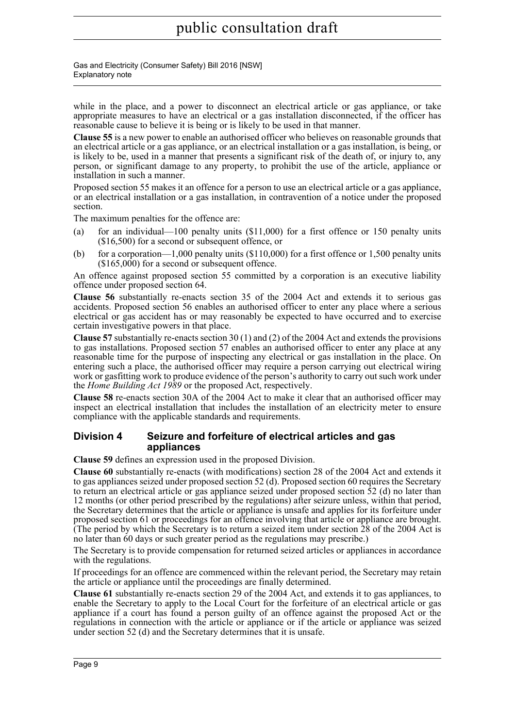Gas and Electricity (Consumer Safety) Bill 2016 [NSW] Explanatory note

while in the place, and a power to disconnect an electrical article or gas appliance, or take appropriate measures to have an electrical or a gas installation disconnected, if the officer has reasonable cause to believe it is being or is likely to be used in that manner.

**Clause 55** is a new power to enable an authorised officer who believes on reasonable grounds that an electrical article or a gas appliance, or an electrical installation or a gas installation, is being, or is likely to be, used in a manner that presents a significant risk of the death of, or injury to, any person, or significant damage to any property, to prohibit the use of the article, appliance or installation in such a manner.

Proposed section 55 makes it an offence for a person to use an electrical article or a gas appliance, or an electrical installation or a gas installation, in contravention of a notice under the proposed section.

The maximum penalties for the offence are:

- (a) for an individual—100 penalty units (\$11,000) for a first offence or 150 penalty units (\$16,500) for a second or subsequent offence, or
- (b) for a corporation—1,000 penalty units  $(\$110,000)$  for a first offence or 1,500 penalty units (\$165,000) for a second or subsequent offence.

An offence against proposed section 55 committed by a corporation is an executive liability offence under proposed section 64.

**Clause 56** substantially re-enacts section 35 of the 2004 Act and extends it to serious gas accidents. Proposed section 56 enables an authorised officer to enter any place where a serious electrical or gas accident has or may reasonably be expected to have occurred and to exercise certain investigative powers in that place.

**Clause 57** substantially re-enacts section 30 (1) and (2) of the 2004 Act and extends the provisions to gas installations. Proposed section 57 enables an authorised officer to enter any place at any reasonable time for the purpose of inspecting any electrical or gas installation in the place. On entering such a place, the authorised officer may require a person carrying out electrical wiring work or gasfitting work to produce evidence of the person's authority to carry out such work under the *Home Building Act 1989* or the proposed Act, respectively.

**Clause 58** re-enacts section 30A of the 2004 Act to make it clear that an authorised officer may inspect an electrical installation that includes the installation of an electricity meter to ensure compliance with the applicable standards and requirements.

#### **Division 4 Seizure and forfeiture of electrical articles and gas appliances**

**Clause 59** defines an expression used in the proposed Division.

**Clause 60** substantially re-enacts (with modifications) section 28 of the 2004 Act and extends it to gas appliances seized under proposed section 52 (d). Proposed section 60 requires the Secretary to return an electrical article or gas appliance seized under proposed section 52 (d) no later than 12 months (or other period prescribed by the regulations) after seizure unless, within that period, the Secretary determines that the article or appliance is unsafe and applies for its forfeiture under proposed section 61 or proceedings for an offence involving that article or appliance are brought. (The period by which the Secretary is to return a seized item under section 28 of the 2004 Act is no later than 60 days or such greater period as the regulations may prescribe.)

The Secretary is to provide compensation for returned seized articles or appliances in accordance with the regulations.

If proceedings for an offence are commenced within the relevant period, the Secretary may retain the article or appliance until the proceedings are finally determined.

**Clause 61** substantially re-enacts section 29 of the 2004 Act, and extends it to gas appliances, to enable the Secretary to apply to the Local Court for the forfeiture of an electrical article or gas appliance if a court has found a person guilty of an offence against the proposed Act or the regulations in connection with the article or appliance or if the article or appliance was seized under section 52 (d) and the Secretary determines that it is unsafe.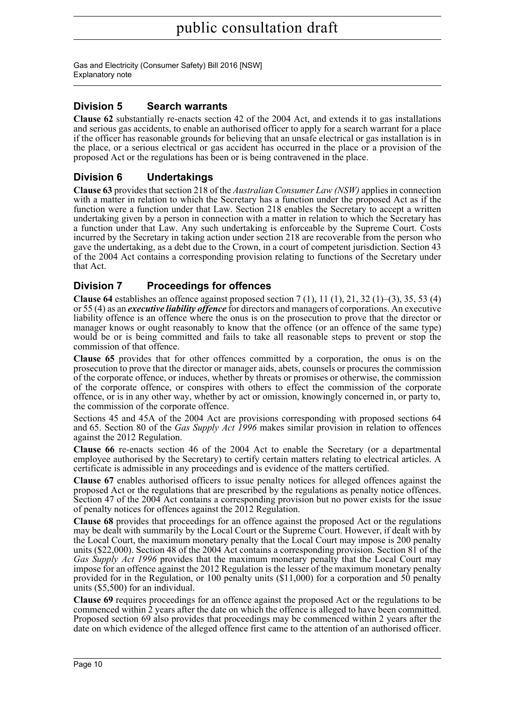Gas and Electricity (Consumer Safety) Bill 2016 [NSW] Explanatory note

#### **Division 5 Search warrants**

**Clause 62** substantially re-enacts section 42 of the 2004 Act, and extends it to gas installations and serious gas accidents, to enable an authorised officer to apply for a search warrant for a place if the officer has reasonable grounds for believing that an unsafe electrical or gas installation is in the place, or a serious electrical or gas accident has occurred in the place or a provision of the proposed Act or the regulations has been or is being contravened in the place.

#### **Division 6 Undertakings**

**Clause 63** provides that section 218 of the *Australian Consumer Law (NSW)* applies in connection with a matter in relation to which the Secretary has a function under the proposed Act as if the function were a function under that Law. Section 218 enables the Secretary to accept a written undertaking given by a person in connection with a matter in relation to which the Secretary has a function under that Law. Any such undertaking is enforceable by the Supreme Court. Costs incurred by the Secretary in taking action under section 218 are recoverable from the person who gave the undertaking, as a debt due to the Crown, in a court of competent jurisdiction. Section 43 of the 2004 Act contains a corresponding provision relating to functions of the Secretary under that Act.

#### **Division 7 Proceedings for offences**

**Clause 64** establishes an offence against proposed section  $7(1)$ ,  $11(1)$ ,  $21$ ,  $32(1)$ – $(3)$ ,  $35$ ,  $53(4)$ or 55 (4) as an *executive liability offence* for directors and managers of corporations. An executive liability offence is an offence where the onus is on the prosecution to prove that the director or manager knows or ought reasonably to know that the offence (or an offence of the same type) would be or is being committed and fails to take all reasonable steps to prevent or stop the commission of that offence.

**Clause 65** provides that for other offences committed by a corporation, the onus is on the prosecution to prove that the director or manager aids, abets, counsels or procures the commission of the corporate offence, or induces, whether by threats or promises or otherwise, the commission of the corporate offence, or conspires with others to effect the commission of the corporate offence, or is in any other way, whether by act or omission, knowingly concerned in, or party to, the commission of the corporate offence.

Sections 45 and 45A of the 2004 Act are provisions corresponding with proposed sections 64 and 65. Section 80 of the *Gas Supply Act 1996* makes similar provision in relation to offences against the 2012 Regulation.

**Clause 66** re-enacts section 46 of the 2004 Act to enable the Secretary (or a departmental employee authorised by the Secretary) to certify certain matters relating to electrical articles. A certificate is admissible in any proceedings and is evidence of the matters certified.

**Clause 67** enables authorised officers to issue penalty notices for alleged offences against the proposed Act or the regulations that are prescribed by the regulations as penalty notice offences. Section 47 of the 2004 Act contains a corresponding provision but no power exists for the issue of penalty notices for offences against the 2012 Regulation.

**Clause 68** provides that proceedings for an offence against the proposed Act or the regulations may be dealt with summarily by the Local Court or the Supreme Court. However, if dealt with by the Local Court, the maximum monetary penalty that the Local Court may impose is 200 penalty units (\$22,000). Section 48 of the 2004 Act contains a corresponding provision. Section 81 of the *Gas Supply Act 1996* provides that the maximum monetary penalty that the Local Court may impose for an offence against the 2012 Regulation is the lesser of the maximum monetary penalty provided for in the Regulation, or 100 penalty units (\$11,000) for a corporation and 50 penalty units (\$5,500) for an individual.

**Clause 69** requires proceedings for an offence against the proposed Act or the regulations to be commenced within 2 years after the date on which the offence is alleged to have been committed. Proposed section 69 also provides that proceedings may be commenced within 2 years after the date on which evidence of the alleged offence first came to the attention of an authorised officer.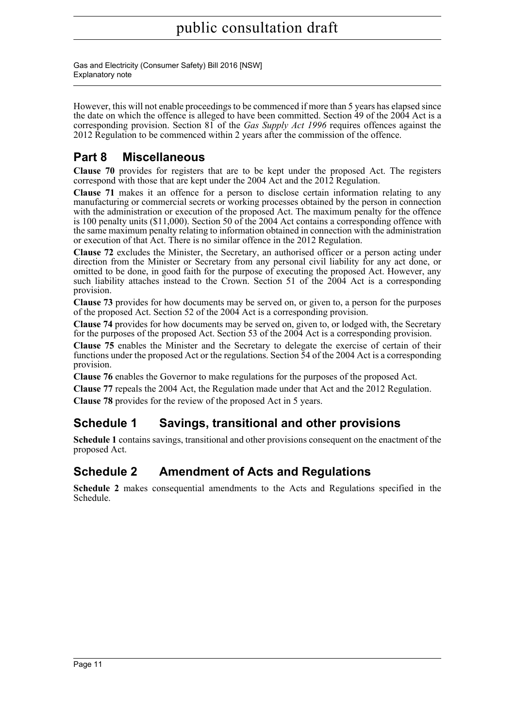Gas and Electricity (Consumer Safety) Bill 2016 [NSW] Explanatory note

However, this will not enable proceedings to be commenced if more than 5 years has elapsed since the date on which the offence is alleged to have been committed. Section 49 of the 2004 Act is a corresponding provision. Section 81 of the *Gas Supply Act 1996* requires offences against the 2012 Regulation to be commenced within 2 years after the commission of the offence.

### **Part 8 Miscellaneous**

**Clause 70** provides for registers that are to be kept under the proposed Act. The registers correspond with those that are kept under the 2004 Act and the 2012 Regulation.

**Clause 71** makes it an offence for a person to disclose certain information relating to any manufacturing or commercial secrets or working processes obtained by the person in connection with the administration or execution of the proposed Act. The maximum penalty for the offence is 100 penalty units (\$11,000). Section 50 of the 2004 Act contains a corresponding offence with the same maximum penalty relating to information obtained in connection with the administration or execution of that Act. There is no similar offence in the 2012 Regulation.

**Clause 72** excludes the Minister, the Secretary, an authorised officer or a person acting under direction from the Minister or Secretary from any personal civil liability for any act done, or omitted to be done, in good faith for the purpose of executing the proposed Act. However, any such liability attaches instead to the Crown. Section 51 of the 2004 Act is a corresponding provision.

**Clause 73** provides for how documents may be served on, or given to, a person for the purposes of the proposed Act. Section 52 of the 2004 Act is a corresponding provision.

**Clause 74** provides for how documents may be served on, given to, or lodged with, the Secretary for the purposes of the proposed Act. Section 53 of the 2004 Act is a corresponding provision.

**Clause 75** enables the Minister and the Secretary to delegate the exercise of certain of their functions under the proposed Act or the regulations. Section 54 of the 2004 Act is a corresponding provision.

**Clause 76** enables the Governor to make regulations for the purposes of the proposed Act.

**Clause 77** repeals the 2004 Act, the Regulation made under that Act and the 2012 Regulation. **Clause 78** provides for the review of the proposed Act in 5 years.

### **Schedule 1 Savings, transitional and other provisions**

**Schedule 1** contains savings, transitional and other provisions consequent on the enactment of the proposed Act.

### **Schedule 2 Amendment of Acts and Regulations**

**Schedule 2** makes consequential amendments to the Acts and Regulations specified in the Schedule.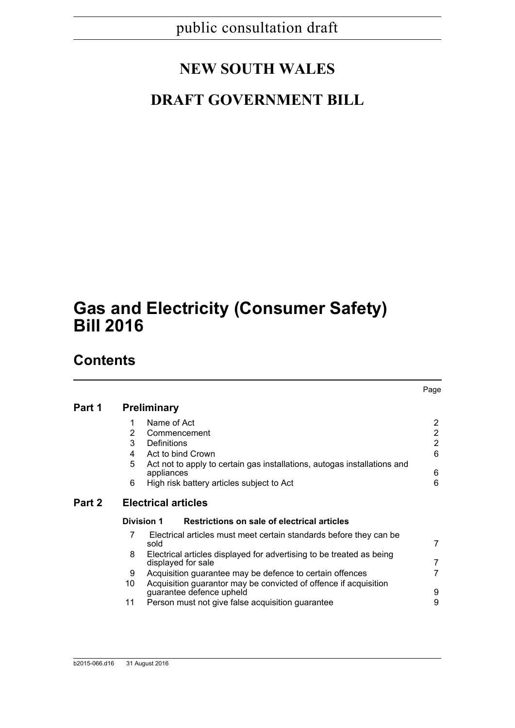# **NEW SOUTH WALES**

# **DRAFT GOVERNMENT BILL**

# **Gas and Electricity (Consumer Safety) Bill 2016**

### **Contents**

|        |                    |                                                                                                             | Page                             |  |
|--------|--------------------|-------------------------------------------------------------------------------------------------------------|----------------------------------|--|
| Part 1 | <b>Preliminary</b> |                                                                                                             |                                  |  |
|        | 1<br>2             | Name of Act<br>Commencement                                                                                 | $\overline{2}$<br>$\overline{2}$ |  |
|        | 3<br>4             | Definitions                                                                                                 | $\overline{2}$<br>6              |  |
|        | 5                  | Act to bind Crown<br>Act not to apply to certain gas installations, autogas installations and<br>appliances | 6                                |  |
|        | 6                  | High risk battery articles subject to Act                                                                   | 6                                |  |
| Part 2 |                    | <b>Electrical articles</b>                                                                                  |                                  |  |
|        | <b>Division 1</b>  | Restrictions on sale of electrical articles                                                                 |                                  |  |
|        | 7                  | Electrical articles must meet certain standards before they can be<br>sold                                  | $\overline{7}$                   |  |
|        | 8                  | Electrical articles displayed for advertising to be treated as being<br>displayed for sale                  | 7                                |  |
|        | 9                  | Acquisition guarantee may be defence to certain offences                                                    | 7                                |  |
|        | 10                 | Acquisition guarantor may be convicted of offence if acquisition<br>guarantee defence upheld                | 9                                |  |
|        | 11                 | Person must not give false acquisition guarantee                                                            | 9                                |  |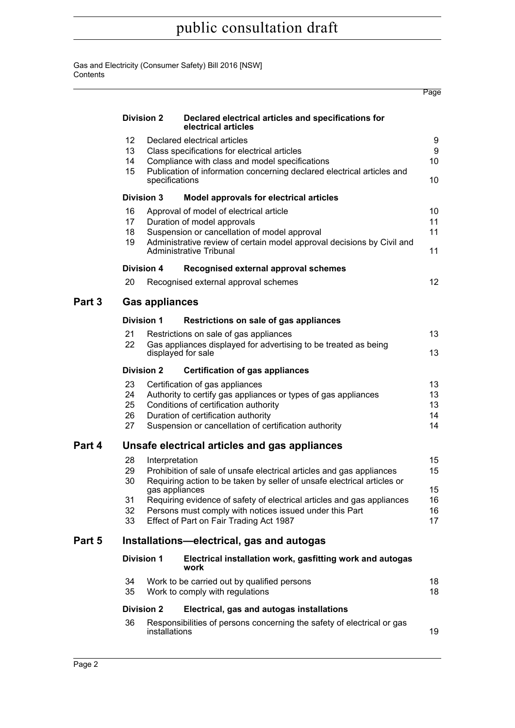Gas and Electricity (Consumer Safety) Bill 2016 [NSW] **Contents** 

|        |                                                                                                                                                                                     |                                                                                                                                                                                                                             |                                                                                                                                                                                                                                            | Page                       |  |  |  |
|--------|-------------------------------------------------------------------------------------------------------------------------------------------------------------------------------------|-----------------------------------------------------------------------------------------------------------------------------------------------------------------------------------------------------------------------------|--------------------------------------------------------------------------------------------------------------------------------------------------------------------------------------------------------------------------------------------|----------------------------|--|--|--|
|        | <b>Division 2</b>                                                                                                                                                                   |                                                                                                                                                                                                                             | Declared electrical articles and specifications for<br>electrical articles                                                                                                                                                                 |                            |  |  |  |
|        | 12 <sup>2</sup><br>13<br>14<br>15                                                                                                                                                   |                                                                                                                                                                                                                             | Declared electrical articles<br>Class specifications for electrical articles<br>Compliance with class and model specifications<br>Publication of information concerning declared electrical articles and<br>specifications                 |                            |  |  |  |
|        | <b>Division 3</b>                                                                                                                                                                   |                                                                                                                                                                                                                             | Model approvals for electrical articles                                                                                                                                                                                                    |                            |  |  |  |
|        | 16<br>17<br>18<br>19                                                                                                                                                                | Approval of model of electrical article<br>Duration of model approvals<br>Suspension or cancellation of model approval<br>Administrative review of certain model approval decisions by Civil and<br>Administrative Tribunal |                                                                                                                                                                                                                                            |                            |  |  |  |
|        |                                                                                                                                                                                     | Division 4                                                                                                                                                                                                                  | Recognised external approval schemes                                                                                                                                                                                                       |                            |  |  |  |
|        | 20                                                                                                                                                                                  |                                                                                                                                                                                                                             | Recognised external approval schemes                                                                                                                                                                                                       | 12 <sup>2</sup>            |  |  |  |
| Part 3 |                                                                                                                                                                                     | <b>Gas appliances</b>                                                                                                                                                                                                       |                                                                                                                                                                                                                                            |                            |  |  |  |
|        | <b>Division 1</b><br>Restrictions on sale of gas appliances                                                                                                                         |                                                                                                                                                                                                                             |                                                                                                                                                                                                                                            |                            |  |  |  |
|        | 21<br>22                                                                                                                                                                            | Restrictions on sale of gas appliances<br>Gas appliances displayed for advertising to be treated as being<br>displayed for sale                                                                                             |                                                                                                                                                                                                                                            |                            |  |  |  |
|        | <b>Division 2</b><br><b>Certification of gas appliances</b>                                                                                                                         |                                                                                                                                                                                                                             |                                                                                                                                                                                                                                            |                            |  |  |  |
|        | 23<br>24<br>25<br>26<br>27                                                                                                                                                          |                                                                                                                                                                                                                             | Certification of gas appliances<br>Authority to certify gas appliances or types of gas appliances<br>Conditions of certification authority<br>Duration of certification authority<br>Suspension or cancellation of certification authority | 13<br>13<br>13<br>14<br>14 |  |  |  |
| Part 4 | Unsafe electrical articles and gas appliances                                                                                                                                       |                                                                                                                                                                                                                             |                                                                                                                                                                                                                                            |                            |  |  |  |
|        | 28<br>Interpretation<br>Prohibition of sale of unsafe electrical articles and gas appliances<br>29<br>Requiring action to be taken by seller of unsafe electrical articles or<br>30 |                                                                                                                                                                                                                             |                                                                                                                                                                                                                                            |                            |  |  |  |
|        | 31<br>32<br>33                                                                                                                                                                      | gas appliances<br>Requiring evidence of safety of electrical articles and gas appliances<br>Persons must comply with notices issued under this Part<br>Effect of Part on Fair Trading Act 1987                              |                                                                                                                                                                                                                                            |                            |  |  |  |
| Part 5 | Installations-electrical, gas and autogas                                                                                                                                           |                                                                                                                                                                                                                             |                                                                                                                                                                                                                                            |                            |  |  |  |
|        | <b>Division 1</b>                                                                                                                                                                   |                                                                                                                                                                                                                             | Electrical installation work, gasfitting work and autogas<br>work                                                                                                                                                                          |                            |  |  |  |
|        | 34<br>35                                                                                                                                                                            | Work to be carried out by qualified persons<br>Work to comply with regulations                                                                                                                                              |                                                                                                                                                                                                                                            |                            |  |  |  |
|        | <b>Division 2</b><br>Electrical, gas and autogas installations                                                                                                                      |                                                                                                                                                                                                                             |                                                                                                                                                                                                                                            |                            |  |  |  |
|        | 36                                                                                                                                                                                  | installations                                                                                                                                                                                                               | Responsibilities of persons concerning the safety of electrical or gas                                                                                                                                                                     | 19                         |  |  |  |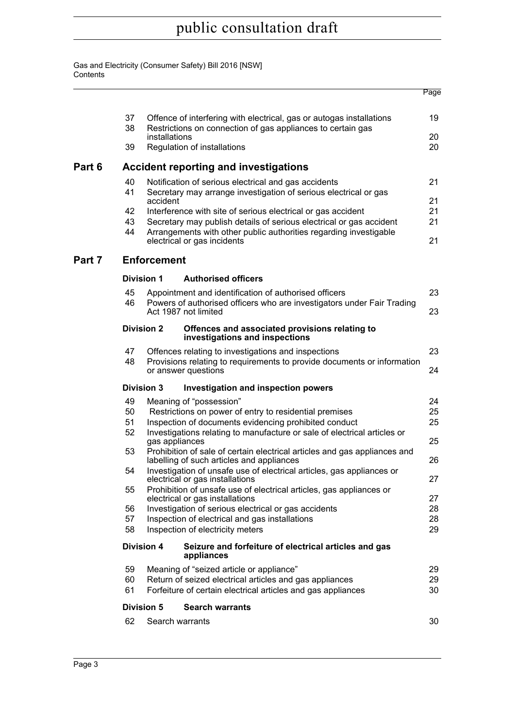Gas and Electricity (Consumer Safety) Bill 2016 [NSW] **Contents** 

|        |                                                                                                       |                                                                                                                                                                         |                                                                                                                                   | Page     |  |  |  |
|--------|-------------------------------------------------------------------------------------------------------|-------------------------------------------------------------------------------------------------------------------------------------------------------------------------|-----------------------------------------------------------------------------------------------------------------------------------|----------|--|--|--|
|        | 37<br>38                                                                                              | Offence of interfering with electrical, gas or autogas installations<br>Restrictions on connection of gas appliances to certain gas<br>installations                    |                                                                                                                                   |          |  |  |  |
|        | 39                                                                                                    |                                                                                                                                                                         | Regulation of installations                                                                                                       | 20<br>20 |  |  |  |
| Part 6 | <b>Accident reporting and investigations</b>                                                          |                                                                                                                                                                         |                                                                                                                                   |          |  |  |  |
|        | 40                                                                                                    | Notification of serious electrical and gas accidents                                                                                                                    |                                                                                                                                   |          |  |  |  |
|        | 41                                                                                                    | Secretary may arrange investigation of serious electrical or gas<br>accident                                                                                            |                                                                                                                                   |          |  |  |  |
|        | 42                                                                                                    | Interference with site of serious electrical or gas accident                                                                                                            |                                                                                                                                   |          |  |  |  |
|        | 43<br>44                                                                                              | Secretary may publish details of serious electrical or gas accident<br>Arrangements with other public authorities regarding investigable<br>electrical or gas incidents |                                                                                                                                   |          |  |  |  |
| Part 7 | <b>Enforcement</b>                                                                                    |                                                                                                                                                                         |                                                                                                                                   |          |  |  |  |
|        |                                                                                                       | <b>Division 1</b>                                                                                                                                                       | <b>Authorised officers</b>                                                                                                        |          |  |  |  |
|        | 45                                                                                                    |                                                                                                                                                                         | Appointment and identification of authorised officers                                                                             | 23       |  |  |  |
|        | 46                                                                                                    |                                                                                                                                                                         | Powers of authorised officers who are investigators under Fair Trading<br>Act 1987 not limited                                    | 23       |  |  |  |
|        | <b>Division 2</b><br>Offences and associated provisions relating to<br>investigations and inspections |                                                                                                                                                                         |                                                                                                                                   |          |  |  |  |
|        | 47                                                                                                    |                                                                                                                                                                         | Offences relating to investigations and inspections                                                                               | 23       |  |  |  |
|        | 48                                                                                                    |                                                                                                                                                                         | Provisions relating to requirements to provide documents or information<br>or answer questions                                    | 24       |  |  |  |
|        | <b>Division 3</b><br><b>Investigation and inspection powers</b>                                       |                                                                                                                                                                         |                                                                                                                                   |          |  |  |  |
|        | 49                                                                                                    |                                                                                                                                                                         | Meaning of "possession"                                                                                                           | 24       |  |  |  |
|        | 50                                                                                                    |                                                                                                                                                                         | Restrictions on power of entry to residential premises                                                                            | 25       |  |  |  |
|        | 51<br>52                                                                                              |                                                                                                                                                                         | Inspection of documents evidencing prohibited conduct<br>Investigations relating to manufacture or sale of electrical articles or | 25       |  |  |  |
|        |                                                                                                       | gas appliances                                                                                                                                                          |                                                                                                                                   |          |  |  |  |
|        | 53                                                                                                    |                                                                                                                                                                         | Prohibition of sale of certain electrical articles and gas appliances and<br>labelling of such articles and appliances            | 26       |  |  |  |
|        | Investigation of unsafe use of electrical articles, gas appliances or<br>54                           |                                                                                                                                                                         |                                                                                                                                   | 27       |  |  |  |
|        | 55                                                                                                    | electrical or gas installations<br>Prohibition of unsafe use of electrical articles, gas appliances or                                                                  |                                                                                                                                   |          |  |  |  |
|        | 56                                                                                                    | electrical or gas installations<br>Investigation of serious electrical or gas accidents                                                                                 |                                                                                                                                   |          |  |  |  |
|        | 57                                                                                                    | Inspection of electrical and gas installations                                                                                                                          |                                                                                                                                   |          |  |  |  |
|        | 58                                                                                                    | Inspection of electricity meters                                                                                                                                        |                                                                                                                                   |          |  |  |  |
|        |                                                                                                       | <b>Division 4</b>                                                                                                                                                       | Seizure and forfeiture of electrical articles and gas<br>appliances                                                               |          |  |  |  |
|        | 59                                                                                                    | Meaning of "seized article or appliance"                                                                                                                                |                                                                                                                                   | 29       |  |  |  |
|        | 60                                                                                                    | Return of seized electrical articles and gas appliances<br>29                                                                                                           |                                                                                                                                   |          |  |  |  |
|        | 61                                                                                                    |                                                                                                                                                                         | Forfeiture of certain electrical articles and gas appliances                                                                      | 30       |  |  |  |
|        |                                                                                                       | <b>Division 5</b>                                                                                                                                                       | <b>Search warrants</b>                                                                                                            |          |  |  |  |
|        | 62                                                                                                    |                                                                                                                                                                         | Search warrants                                                                                                                   | 30       |  |  |  |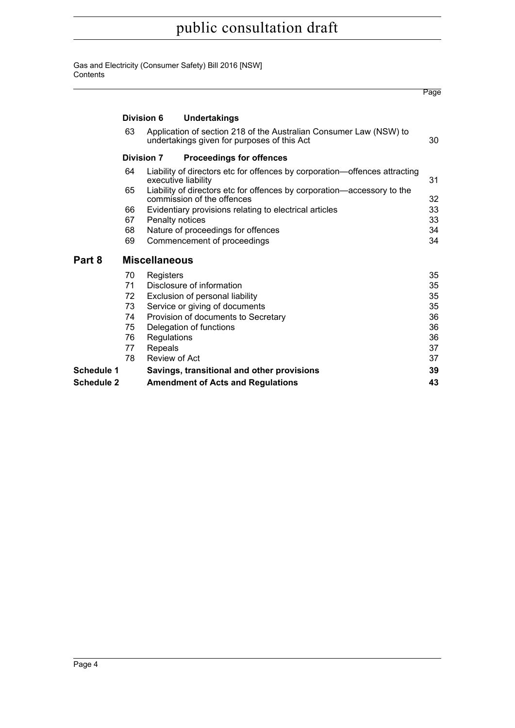Gas and Electricity (Consumer Safety) Bill 2016 [NSW] **Contents** 

|                   |                      |             |                                                                                                                   | Page |  |  |  |  |
|-------------------|----------------------|-------------|-------------------------------------------------------------------------------------------------------------------|------|--|--|--|--|
|                   | Division 6           |             | <b>Undertakings</b>                                                                                               |      |  |  |  |  |
|                   | 63                   |             | Application of section 218 of the Australian Consumer Law (NSW) to<br>undertakings given for purposes of this Act | 30   |  |  |  |  |
|                   | <b>Division 7</b>    |             | <b>Proceedings for offences</b>                                                                                   |      |  |  |  |  |
|                   | 64                   |             | Liability of directors etc for offences by corporation—offences attracting<br>executive liability                 | 31   |  |  |  |  |
|                   | 65                   |             | Liability of directors etc for offences by corporation-accessory to the<br>commission of the offences             | 32   |  |  |  |  |
|                   | 66                   |             | Evidentiary provisions relating to electrical articles                                                            | 33   |  |  |  |  |
|                   | 67                   |             | Penalty notices                                                                                                   | 33   |  |  |  |  |
|                   | 68                   |             | Nature of proceedings for offences                                                                                | 34   |  |  |  |  |
|                   | 69                   |             | Commencement of proceedings                                                                                       | 34   |  |  |  |  |
| Part 8            | <b>Miscellaneous</b> |             |                                                                                                                   |      |  |  |  |  |
|                   | 70                   | Registers   |                                                                                                                   | 35   |  |  |  |  |
|                   | 71                   |             | Disclosure of information                                                                                         | 35   |  |  |  |  |
|                   | 72                   |             | Exclusion of personal liability                                                                                   | 35   |  |  |  |  |
|                   | 73                   |             | Service or giving of documents                                                                                    | 35   |  |  |  |  |
|                   | 74                   |             | Provision of documents to Secretary                                                                               | 36   |  |  |  |  |
|                   | 75                   |             | Delegation of functions                                                                                           | 36   |  |  |  |  |
|                   | 76                   | Regulations |                                                                                                                   | 36   |  |  |  |  |
|                   | 77                   | Repeals     |                                                                                                                   | 37   |  |  |  |  |
|                   | 78                   |             | Review of Act                                                                                                     | 37   |  |  |  |  |
| <b>Schedule 1</b> |                      |             | Savings, transitional and other provisions                                                                        | 39   |  |  |  |  |
| <b>Schedule 2</b> |                      |             | <b>Amendment of Acts and Regulations</b>                                                                          | 43   |  |  |  |  |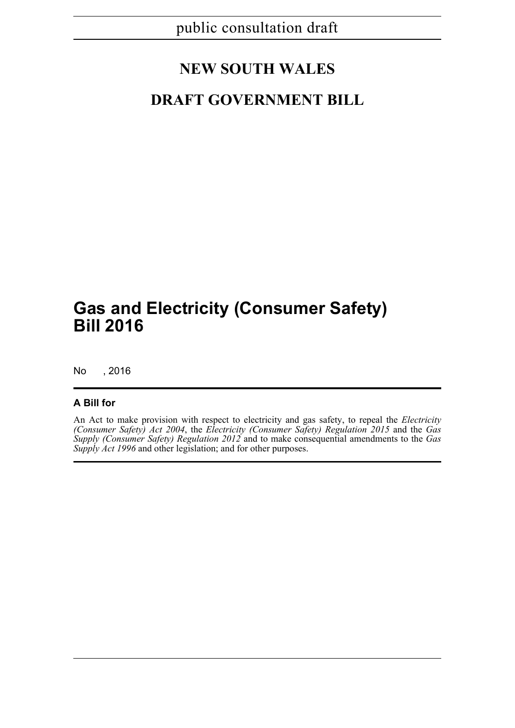# **NEW SOUTH WALES**

## **DRAFT GOVERNMENT BILL**

# **Gas and Electricity (Consumer Safety) Bill 2016**

No , 2016

#### **A Bill for**

An Act to make provision with respect to electricity and gas safety, to repeal the *Electricity (Consumer Safety) Act 2004*, the *Electricity (Consumer Safety) Regulation 2015* and the *Gas Supply (Consumer Safety) Regulation 2012* and to make consequential amendments to the *Gas Supply Act 1996* and other legislation; and for other purposes.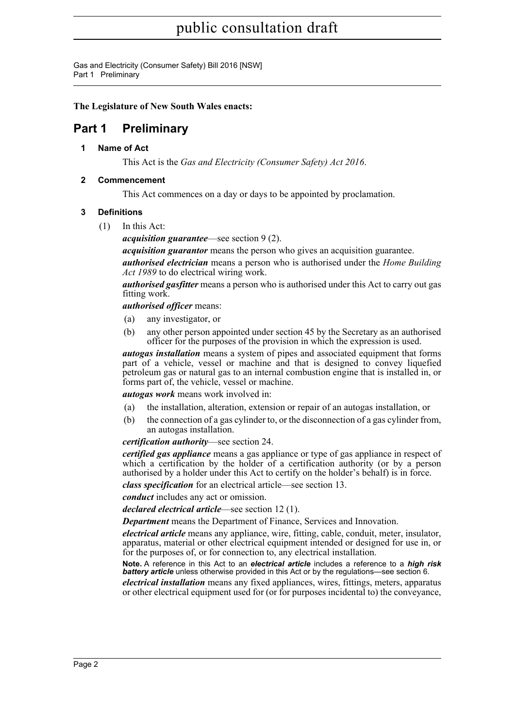Gas and Electricity (Consumer Safety) Bill 2016 [NSW] Part 1 Preliminary

**The Legislature of New South Wales enacts:**

### <span id="page-16-1"></span><span id="page-16-0"></span>**Part 1 Preliminary**

**1 Name of Act**

This Act is the *Gas and Electricity (Consumer Safety) Act 2016*.

#### <span id="page-16-2"></span>**2 Commencement**

This Act commences on a day or days to be appointed by proclamation.

#### <span id="page-16-3"></span>**3 Definitions**

(1) In this Act:

*acquisition guarantee*—see section 9 (2).

*acquisition guarantor* means the person who gives an acquisition guarantee.

*authorised electrician* means a person who is authorised under the *Home Building Act 1989* to do electrical wiring work.

*authorised gasfitter* means a person who is authorised under this Act to carry out gas fitting work.

*authorised officer* means:

- (a) any investigator, or
- (b) any other person appointed under section 45 by the Secretary as an authorised officer for the purposes of the provision in which the expression is used.

*autogas installation* means a system of pipes and associated equipment that forms part of a vehicle, vessel or machine and that is designed to convey liquefied petroleum gas or natural gas to an internal combustion engine that is installed in, or forms part of, the vehicle, vessel or machine.

*autogas work* means work involved in:

- (a) the installation, alteration, extension or repair of an autogas installation, or
- (b) the connection of a gas cylinder to, or the disconnection of a gas cylinder from, an autogas installation.

*certification authority*—see section 24.

*certified gas appliance* means a gas appliance or type of gas appliance in respect of which a certification by the holder of a certification authority (or by a person authorised by a holder under this Act to certify on the holder's behalf) is in force.

*class specification* for an electrical article—see section 13.

*conduct* includes any act or omission.

*declared electrical article*—see section 12 (1).

*Department* means the Department of Finance, Services and Innovation.

*electrical article* means any appliance, wire, fitting, cable, conduit, meter, insulator, apparatus, material or other electrical equipment intended or designed for use in, or for the purposes of, or for connection to, any electrical installation.

**Note.** A reference in this Act to an *electrical article* includes a reference to a *high risk battery article* unless otherwise provided in this Act or by the regulations—see section 6.

*electrical installation* means any fixed appliances, wires, fittings, meters, apparatus or other electrical equipment used for (or for purposes incidental to) the conveyance,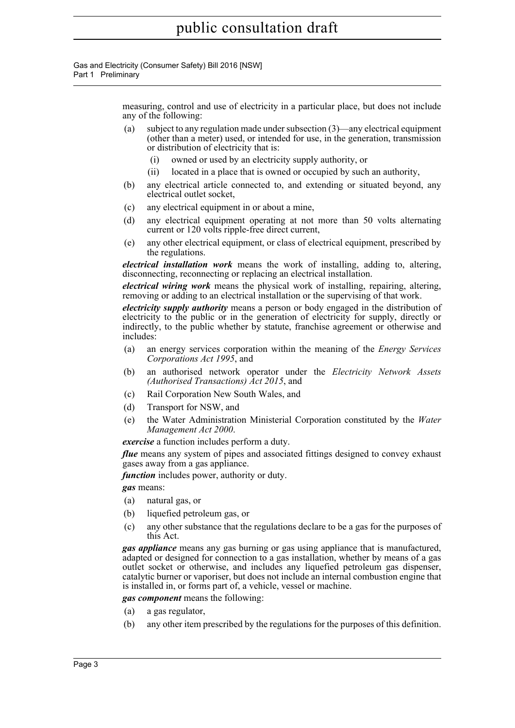Gas and Electricity (Consumer Safety) Bill 2016 [NSW] Part 1 Preliminary

> measuring, control and use of electricity in a particular place, but does not include any of the following:

- (a) subject to any regulation made under subsection (3)—any electrical equipment (other than a meter) used, or intended for use, in the generation, transmission or distribution of electricity that is:
	- (i) owned or used by an electricity supply authority, or
	- (ii) located in a place that is owned or occupied by such an authority,
- (b) any electrical article connected to, and extending or situated beyond, any electrical outlet socket,
- (c) any electrical equipment in or about a mine,
- (d) any electrical equipment operating at not more than 50 volts alternating current or 120 volts ripple-free direct current,
- (e) any other electrical equipment, or class of electrical equipment, prescribed by the regulations.

*electrical installation work* means the work of installing, adding to, altering, disconnecting, reconnecting or replacing an electrical installation.

*electrical wiring work* means the physical work of installing, repairing, altering, removing or adding to an electrical installation or the supervising of that work.

*electricity supply authority* means a person or body engaged in the distribution of electricity to the public or in the generation of electricity for supply, directly or indirectly, to the public whether by statute, franchise agreement or otherwise and includes:

- (a) an energy services corporation within the meaning of the *Energy Services Corporations Act 1995*, and
- (b) an authorised network operator under the *Electricity Network Assets (Authorised Transactions) Act 2015*, and
- (c) Rail Corporation New South Wales, and
- (d) Transport for NSW, and
- (e) the Water Administration Ministerial Corporation constituted by the *Water Management Act 2000*.

*exercise* a function includes perform a duty.

*flue* means any system of pipes and associated fittings designed to convey exhaust gases away from a gas appliance.

*function* includes power, authority or duty.

*gas* means:

- (a) natural gas, or
- (b) liquefied petroleum gas, or
- (c) any other substance that the regulations declare to be a gas for the purposes of this Act.

*gas appliance* means any gas burning or gas using appliance that is manufactured, adapted or designed for connection to a gas installation, whether by means of a gas outlet socket or otherwise, and includes any liquefied petroleum gas dispenser, catalytic burner or vaporiser, but does not include an internal combustion engine that is installed in, or forms part of, a vehicle, vessel or machine.

*gas component* means the following:

- (a) a gas regulator,
- (b) any other item prescribed by the regulations for the purposes of this definition.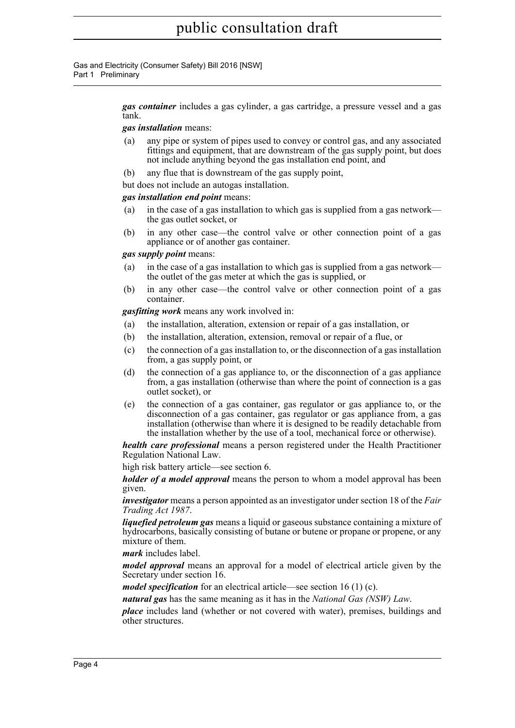Gas and Electricity (Consumer Safety) Bill 2016 [NSW] Part 1 Preliminary

> *gas container* includes a gas cylinder, a gas cartridge, a pressure vessel and a gas tank.

#### *gas installation* means:

- (a) any pipe or system of pipes used to convey or control gas, and any associated fittings and equipment, that are downstream of the gas supply point, but does not include anything beyond the gas installation end point, and
- (b) any flue that is downstream of the gas supply point,

but does not include an autogas installation.

#### *gas installation end point* means:

- (a) in the case of a gas installation to which gas is supplied from a gas network the gas outlet socket, or
- (b) in any other case—the control valve or other connection point of a gas appliance or of another gas container.

#### *gas supply point* means:

- (a) in the case of a gas installation to which gas is supplied from a gas network the outlet of the gas meter at which the gas is supplied, or
- (b) in any other case—the control valve or other connection point of a gas container.

*gasfitting work* means any work involved in:

- (a) the installation, alteration, extension or repair of a gas installation, or
- (b) the installation, alteration, extension, removal or repair of a flue, or
- (c) the connection of a gas installation to, or the disconnection of a gas installation from, a gas supply point, or
- (d) the connection of a gas appliance to, or the disconnection of a gas appliance from, a gas installation (otherwise than where the point of connection is a gas outlet socket), or
- (e) the connection of a gas container, gas regulator or gas appliance to, or the disconnection of a gas container, gas regulator or gas appliance from, a gas installation (otherwise than where it is designed to be readily detachable from the installation whether by the use of a tool, mechanical force or otherwise).

*health care professional* means a person registered under the Health Practitioner Regulation National Law.

high risk battery article—see section 6.

*holder of a model approval* means the person to whom a model approval has been given.

*investigator* means a person appointed as an investigator under section 18 of the *Fair Trading Act 1987*.

*liquefied petroleum gas* means a liquid or gaseous substance containing a mixture of hydrocarbons, basically consisting of butane or butene or propane or propene, or any mixture of them.

*mark* includes label.

*model approval* means an approval for a model of electrical article given by the Secretary under section 16.

*model specification* for an electrical article—see section 16 (1) (c).

*natural gas* has the same meaning as it has in the *National Gas (NSW) Law*.

*place* includes land (whether or not covered with water), premises, buildings and other structures.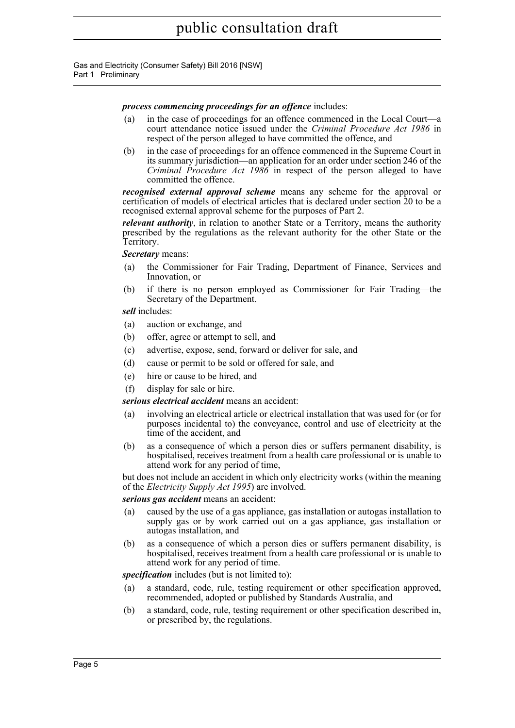Gas and Electricity (Consumer Safety) Bill 2016 [NSW] Part 1 Preliminary

#### *process commencing proceedings for an offence* includes:

- (a) in the case of proceedings for an offence commenced in the Local Court—a court attendance notice issued under the *Criminal Procedure Act 1986* in respect of the person alleged to have committed the offence, and
- (b) in the case of proceedings for an offence commenced in the Supreme Court in its summary jurisdiction—an application for an order under section 246 of the *Criminal Procedure Act 1986* in respect of the person alleged to have committed the offence.

*recognised external approval scheme* means any scheme for the approval or certification of models of electrical articles that is declared under section 20 to be a recognised external approval scheme for the purposes of Part 2.

*relevant authority*, in relation to another State or a Territory, means the authority prescribed by the regulations as the relevant authority for the other State or the Territory.

*Secretary* means:

- (a) the Commissioner for Fair Trading, Department of Finance, Services and Innovation, or
- (b) if there is no person employed as Commissioner for Fair Trading—the Secretary of the Department.

#### *sell* includes:

- (a) auction or exchange, and
- (b) offer, agree or attempt to sell, and
- (c) advertise, expose, send, forward or deliver for sale, and
- (d) cause or permit to be sold or offered for sale, and
- (e) hire or cause to be hired, and
- (f) display for sale or hire.

*serious electrical accident* means an accident:

- (a) involving an electrical article or electrical installation that was used for (or for purposes incidental to) the conveyance, control and use of electricity at the time of the accident, and
- (b) as a consequence of which a person dies or suffers permanent disability, is hospitalised, receives treatment from a health care professional or is unable to attend work for any period of time,

but does not include an accident in which only electricity works (within the meaning of the *Electricity Supply Act 1995*) are involved.

*serious gas accident* means an accident:

- (a) caused by the use of a gas appliance, gas installation or autogas installation to supply gas or by work carried out on a gas appliance, gas installation or autogas installation, and
- (b) as a consequence of which a person dies or suffers permanent disability, is hospitalised, receives treatment from a health care professional or is unable to attend work for any period of time.

*specification* includes (but is not limited to):

- (a) a standard, code, rule, testing requirement or other specification approved, recommended, adopted or published by Standards Australia, and
- (b) a standard, code, rule, testing requirement or other specification described in, or prescribed by, the regulations.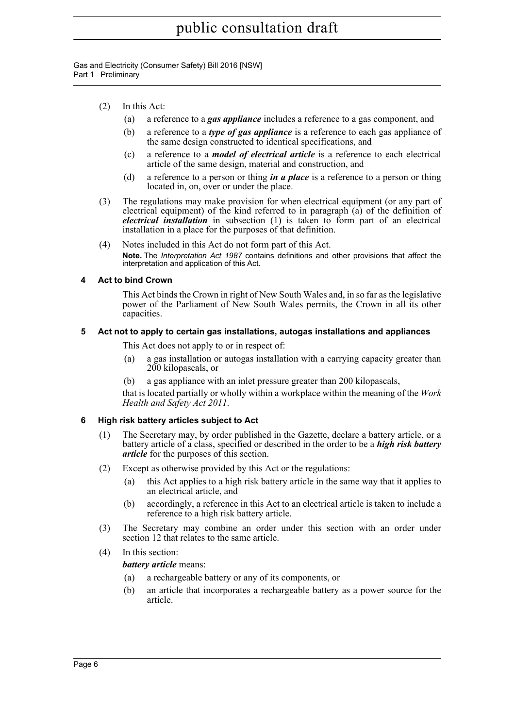Gas and Electricity (Consumer Safety) Bill 2016 [NSW] Part 1 Preliminary

- (2) In this Act:
	- (a) a reference to a *gas appliance* includes a reference to a gas component, and
	- (b) a reference to a *type of gas appliance* is a reference to each gas appliance of the same design constructed to identical specifications, and
	- (c) a reference to a *model of electrical article* is a reference to each electrical article of the same design, material and construction, and
	- (d) a reference to a person or thing *in a place* is a reference to a person or thing located in, on, over or under the place.
- (3) The regulations may make provision for when electrical equipment (or any part of electrical equipment) of the kind referred to in paragraph (a) of the definition of *electrical installation* in subsection (1) is taken to form part of an electrical installation in a place for the purposes of that definition.
- (4) Notes included in this Act do not form part of this Act. **Note.** The *Interpretation Act 1987* contains definitions and other provisions that affect the interpretation and application of this Act.

#### <span id="page-20-0"></span>**4 Act to bind Crown**

This Act binds the Crown in right of New South Wales and, in so far as the legislative power of the Parliament of New South Wales permits, the Crown in all its other capacities.

#### <span id="page-20-1"></span>**5 Act not to apply to certain gas installations, autogas installations and appliances**

This Act does not apply to or in respect of:

- (a) a gas installation or autogas installation with a carrying capacity greater than 200 kilopascals, or
- (b) a gas appliance with an inlet pressure greater than 200 kilopascals,

that is located partially or wholly within a workplace within the meaning of the *Work Health and Safety Act 2011*.

#### <span id="page-20-2"></span>**6 High risk battery articles subject to Act**

- (1) The Secretary may, by order published in the Gazette, declare a battery article, or a battery article of a class, specified or described in the order to be a *high risk battery article* for the purposes of this section.
- (2) Except as otherwise provided by this Act or the regulations:
	- (a) this Act applies to a high risk battery article in the same way that it applies to an electrical article, and
	- (b) accordingly, a reference in this Act to an electrical article is taken to include a reference to a high risk battery article.
- (3) The Secretary may combine an order under this section with an order under section 12 that relates to the same article.
- (4) In this section:

#### *battery article* means:

- (a) a rechargeable battery or any of its components, or
- (b) an article that incorporates a rechargeable battery as a power source for the article.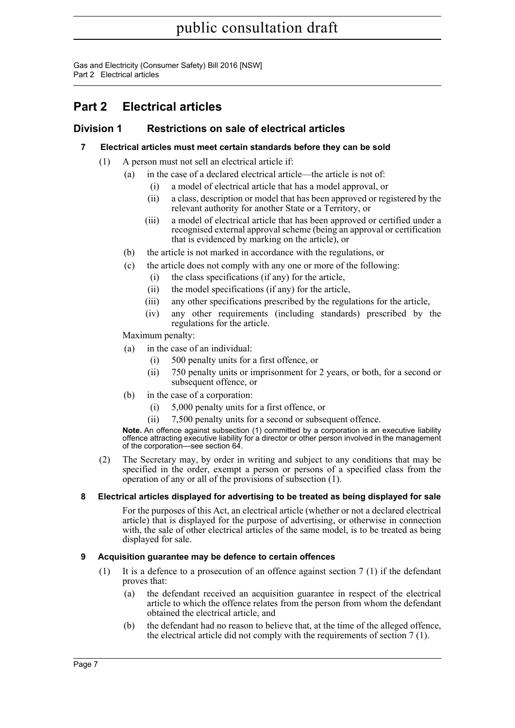Gas and Electricity (Consumer Safety) Bill 2016 [NSW] Part 2 Electrical articles

### <span id="page-21-0"></span>**Part 2 Electrical articles**

#### <span id="page-21-2"></span><span id="page-21-1"></span>**Division 1 Restrictions on sale of electrical articles**

#### **7 Electrical articles must meet certain standards before they can be sold**

- (1) A person must not sell an electrical article if:
	- (a) in the case of a declared electrical article—the article is not of:
		- (i) a model of electrical article that has a model approval, or
		- (ii) a class, description or model that has been approved or registered by the relevant authority for another State or a Territory, or
		- (iii) a model of electrical article that has been approved or certified under a recognised external approval scheme (being an approval or certification that is evidenced by marking on the article), or
	- (b) the article is not marked in accordance with the regulations, or
	- (c) the article does not comply with any one or more of the following:
		- (i) the class specifications (if any) for the article,
		- (ii) the model specifications (if any) for the article,
		- (iii) any other specifications prescribed by the regulations for the article,
		- (iv) any other requirements (including standards) prescribed by the regulations for the article.

Maximum penalty:

- (a) in the case of an individual:
	- (i) 500 penalty units for a first offence, or
	- (ii) 750 penalty units or imprisonment for 2 years, or both, for a second or subsequent offence, or
- (b) in the case of a corporation:
	- (i) 5,000 penalty units for a first offence, or
	- (ii) 7,500 penalty units for a second or subsequent offence.

**Note.** An offence against subsection (1) committed by a corporation is an executive liability offence attracting executive liability for a director or other person involved in the management of the corporation—see section 64.

(2) The Secretary may, by order in writing and subject to any conditions that may be specified in the order, exempt a person or persons of a specified class from the operation of any or all of the provisions of subsection (1).

#### <span id="page-21-3"></span>**8 Electrical articles displayed for advertising to be treated as being displayed for sale**

For the purposes of this Act, an electrical article (whether or not a declared electrical article) that is displayed for the purpose of advertising, or otherwise in connection with, the sale of other electrical articles of the same model, is to be treated as being displayed for sale.

#### <span id="page-21-4"></span>**9 Acquisition guarantee may be defence to certain offences**

- (1) It is a defence to a prosecution of an offence against section 7 (1) if the defendant proves that:
	- (a) the defendant received an acquisition guarantee in respect of the electrical article to which the offence relates from the person from whom the defendant obtained the electrical article, and
	- (b) the defendant had no reason to believe that, at the time of the alleged offence, the electrical article did not comply with the requirements of section 7 (1).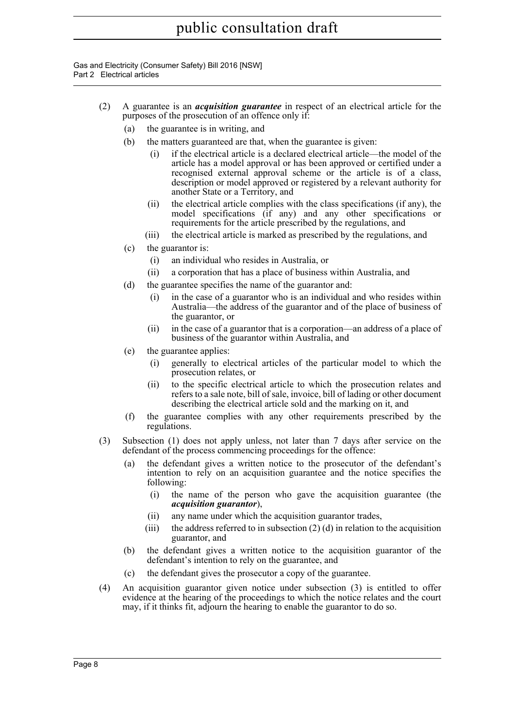Gas and Electricity (Consumer Safety) Bill 2016 [NSW] Part 2 Electrical articles

- (2) A guarantee is an *acquisition guarantee* in respect of an electrical article for the purposes of the prosecution of an offence only if:
	- (a) the guarantee is in writing, and
	- (b) the matters guaranteed are that, when the guarantee is given:
		- (i) if the electrical article is a declared electrical article—the model of the article has a model approval or has been approved or certified under a recognised external approval scheme or the article is of a class, description or model approved or registered by a relevant authority for another State or a Territory, and
		- (ii) the electrical article complies with the class specifications (if any), the model specifications (if any) and any other specifications or requirements for the article prescribed by the regulations, and
		- (iii) the electrical article is marked as prescribed by the regulations, and
	- (c) the guarantor is:
		- (i) an individual who resides in Australia, or
		- (ii) a corporation that has a place of business within Australia, and
	- (d) the guarantee specifies the name of the guarantor and:
		- (i) in the case of a guarantor who is an individual and who resides within Australia—the address of the guarantor and of the place of business of the guarantor, or
		- (ii) in the case of a guarantor that is a corporation—an address of a place of business of the guarantor within Australia, and
	- (e) the guarantee applies:
		- (i) generally to electrical articles of the particular model to which the prosecution relates, or
		- (ii) to the specific electrical article to which the prosecution relates and refers to a sale note, bill of sale, invoice, bill of lading or other document describing the electrical article sold and the marking on it, and
	- (f) the guarantee complies with any other requirements prescribed by the regulations.
- (3) Subsection (1) does not apply unless, not later than 7 days after service on the defendant of the process commencing proceedings for the offence:
	- (a) the defendant gives a written notice to the prosecutor of the defendant's intention to rely on an acquisition guarantee and the notice specifies the following:
		- (i) the name of the person who gave the acquisition guarantee (the *acquisition guarantor*),
		- (ii) any name under which the acquisition guarantor trades,
		- (iii) the address referred to in subsection  $(2)$  (d) in relation to the acquisition guarantor, and
	- (b) the defendant gives a written notice to the acquisition guarantor of the defendant's intention to rely on the guarantee, and
	- (c) the defendant gives the prosecutor a copy of the guarantee.
- (4) An acquisition guarantor given notice under subsection (3) is entitled to offer evidence at the hearing of the proceedings to which the notice relates and the court may, if it thinks fit, adjourn the hearing to enable the guarantor to do so.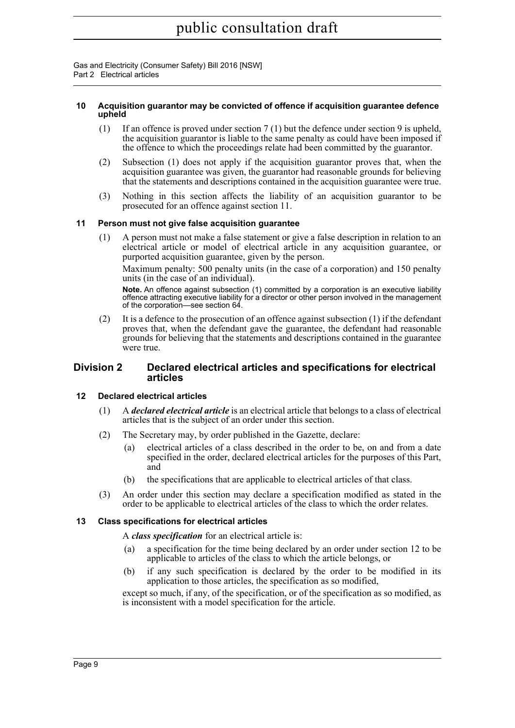Gas and Electricity (Consumer Safety) Bill 2016 [NSW] Part 2 Electrical articles

#### <span id="page-23-0"></span>**10 Acquisition guarantor may be convicted of offence if acquisition guarantee defence upheld**

- (1) If an offence is proved under section 7 (1) but the defence under section 9 is upheld, the acquisition guarantor is liable to the same penalty as could have been imposed if the offence to which the proceedings relate had been committed by the guarantor.
- (2) Subsection (1) does not apply if the acquisition guarantor proves that, when the acquisition guarantee was given, the guarantor had reasonable grounds for believing that the statements and descriptions contained in the acquisition guarantee were true.
- (3) Nothing in this section affects the liability of an acquisition guarantor to be prosecuted for an offence against section 11.

#### <span id="page-23-1"></span>**11 Person must not give false acquisition guarantee**

(1) A person must not make a false statement or give a false description in relation to an electrical article or model of electrical article in any acquisition guarantee, or purported acquisition guarantee, given by the person.

Maximum penalty: 500 penalty units (in the case of a corporation) and 150 penalty units (in the case of an individual).

**Note.** An offence against subsection (1) committed by a corporation is an executive liability offence attracting executive liability for a director or other person involved in the management of the corporation—see section 64.

(2) It is a defence to the prosecution of an offence against subsection (1) if the defendant proves that, when the defendant gave the guarantee, the defendant had reasonable grounds for believing that the statements and descriptions contained in the guarantee were true.

#### <span id="page-23-2"></span>**Division 2 Declared electrical articles and specifications for electrical articles**

#### <span id="page-23-3"></span>**12 Declared electrical articles**

- (1) A *declared electrical article* is an electrical article that belongs to a class of electrical articles that is the subject of an order under this section.
- (2) The Secretary may, by order published in the Gazette, declare:
	- (a) electrical articles of a class described in the order to be, on and from a date specified in the order, declared electrical articles for the purposes of this Part, and
	- (b) the specifications that are applicable to electrical articles of that class.
- (3) An order under this section may declare a specification modified as stated in the order to be applicable to electrical articles of the class to which the order relates.

#### <span id="page-23-4"></span>**13 Class specifications for electrical articles**

A *class specification* for an electrical article is:

- (a) a specification for the time being declared by an order under section 12 to be applicable to articles of the class to which the article belongs, or
- (b) if any such specification is declared by the order to be modified in its application to those articles, the specification as so modified,

except so much, if any, of the specification, or of the specification as so modified, as is inconsistent with a model specification for the article.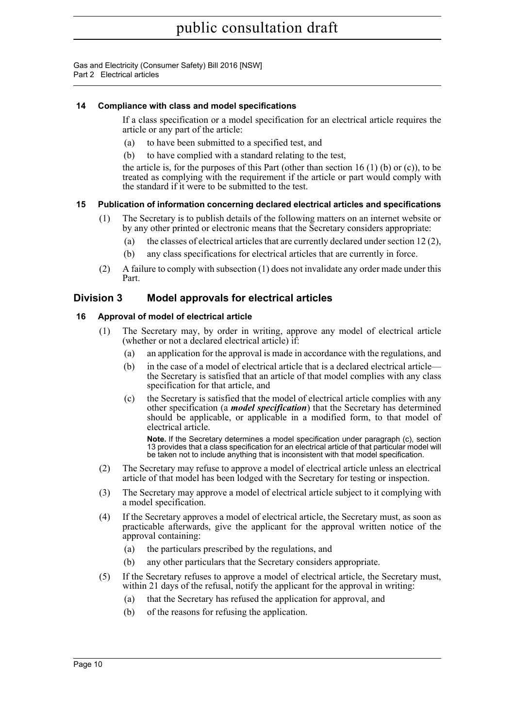Gas and Electricity (Consumer Safety) Bill 2016 [NSW] Part 2 Electrical articles

#### <span id="page-24-0"></span>**14 Compliance with class and model specifications**

If a class specification or a model specification for an electrical article requires the article or any part of the article:

- (a) to have been submitted to a specified test, and
- (b) to have complied with a standard relating to the test,

the article is, for the purposes of this Part (other than section 16  $(1)$  (b) or  $(c)$ ), to be treated as complying with the requirement if the article or part would comply with the standard if it were to be submitted to the test.

#### <span id="page-24-1"></span>**15 Publication of information concerning declared electrical articles and specifications**

- (1) The Secretary is to publish details of the following matters on an internet website or by any other printed or electronic means that the Secretary considers appropriate:
	- (a) the classes of electrical articles that are currently declared under section 12  $(2)$ ,
	- (b) any class specifications for electrical articles that are currently in force.
- (2) A failure to comply with subsection (1) does not invalidate any order made under this Part.

#### <span id="page-24-2"></span>**Division 3 Model approvals for electrical articles**

#### <span id="page-24-3"></span>**16 Approval of model of electrical article**

- (1) The Secretary may, by order in writing, approve any model of electrical article (whether or not a declared electrical article) if:
	- (a) an application for the approval is made in accordance with the regulations, and
	- (b) in the case of a model of electrical article that is a declared electrical article the Secretary is satisfied that an article of that model complies with any class specification for that article, and
	- (c) the Secretary is satisfied that the model of electrical article complies with any other specification (a *model specification*) that the Secretary has determined should be applicable, or applicable in a modified form, to that model of electrical article.

**Note.** If the Secretary determines a model specification under paragraph (c), section 13 provides that a class specification for an electrical article of that particular model will be taken not to include anything that is inconsistent with that model specification.

- (2) The Secretary may refuse to approve a model of electrical article unless an electrical article of that model has been lodged with the Secretary for testing or inspection.
- (3) The Secretary may approve a model of electrical article subject to it complying with a model specification.
- (4) If the Secretary approves a model of electrical article, the Secretary must, as soon as practicable afterwards, give the applicant for the approval written notice of the approval containing:
	- (a) the particulars prescribed by the regulations, and
	- (b) any other particulars that the Secretary considers appropriate.
- (5) If the Secretary refuses to approve a model of electrical article, the Secretary must, within 21 days of the refusal, notify the applicant for the approval in writing:
	- (a) that the Secretary has refused the application for approval, and
	- (b) of the reasons for refusing the application.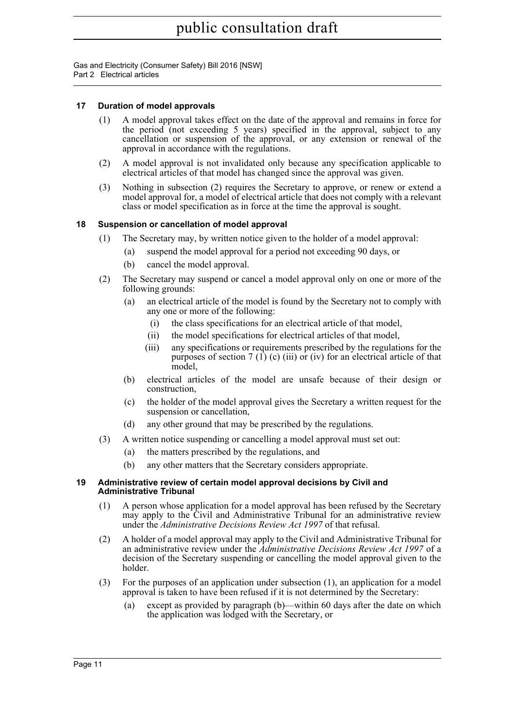Gas and Electricity (Consumer Safety) Bill 2016 [NSW] Part 2 Electrical articles

#### <span id="page-25-0"></span>**17 Duration of model approvals**

- (1) A model approval takes effect on the date of the approval and remains in force for the period (not exceeding 5 years) specified in the approval, subject to any cancellation or suspension of the approval, or any extension or renewal of the approval in accordance with the regulations.
- (2) A model approval is not invalidated only because any specification applicable to electrical articles of that model has changed since the approval was given.
- (3) Nothing in subsection (2) requires the Secretary to approve, or renew or extend a model approval for, a model of electrical article that does not comply with a relevant class or model specification as in force at the time the approval is sought.

#### <span id="page-25-1"></span>**18 Suspension or cancellation of model approval**

- (1) The Secretary may, by written notice given to the holder of a model approval:
	- (a) suspend the model approval for a period not exceeding 90 days, or
	- (b) cancel the model approval.
- (2) The Secretary may suspend or cancel a model approval only on one or more of the following grounds:
	- (a) an electrical article of the model is found by the Secretary not to comply with any one or more of the following:
		- (i) the class specifications for an electrical article of that model,
		- (ii) the model specifications for electrical articles of that model,
		- (iii) any specifications or requirements prescribed by the regulations for the purposes of section 7 (1) (c) (iii) or (iv) for an electrical article of that model,
	- (b) electrical articles of the model are unsafe because of their design or construction,
	- (c) the holder of the model approval gives the Secretary a written request for the suspension or cancellation,
	- (d) any other ground that may be prescribed by the regulations.
- (3) A written notice suspending or cancelling a model approval must set out:
	- (a) the matters prescribed by the regulations, and
	- (b) any other matters that the Secretary considers appropriate.

#### <span id="page-25-2"></span>**19 Administrative review of certain model approval decisions by Civil and Administrative Tribunal**

- (1) A person whose application for a model approval has been refused by the Secretary may apply to the Civil and Administrative Tribunal for an administrative review under the *Administrative Decisions Review Act 1997* of that refusal.
- (2) A holder of a model approval may apply to the Civil and Administrative Tribunal for an administrative review under the *Administrative Decisions Review Act 1997* of a decision of the Secretary suspending or cancelling the model approval given to the holder.
- (3) For the purposes of an application under subsection (1), an application for a model approval is taken to have been refused if it is not determined by the Secretary:
	- (a) except as provided by paragraph (b)—within 60 days after the date on which the application was lodged with the Secretary, or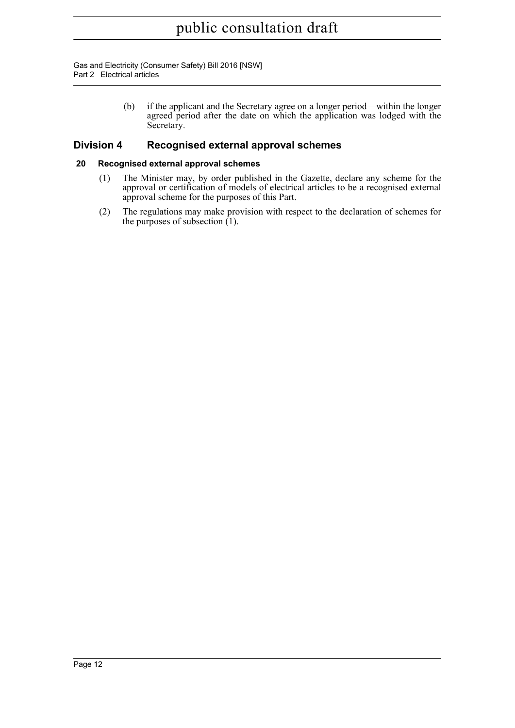Gas and Electricity (Consumer Safety) Bill 2016 [NSW] Part 2 Electrical articles

> (b) if the applicant and the Secretary agree on a longer period—within the longer agreed period after the date on which the application was lodged with the Secretary.

#### <span id="page-26-0"></span>**Division 4 Recognised external approval schemes**

#### <span id="page-26-1"></span>**20 Recognised external approval schemes**

- (1) The Minister may, by order published in the Gazette, declare any scheme for the approval or certification of models of electrical articles to be a recognised external approval scheme for the purposes of this Part.
- (2) The regulations may make provision with respect to the declaration of schemes for the purposes of subsection  $(1)$ .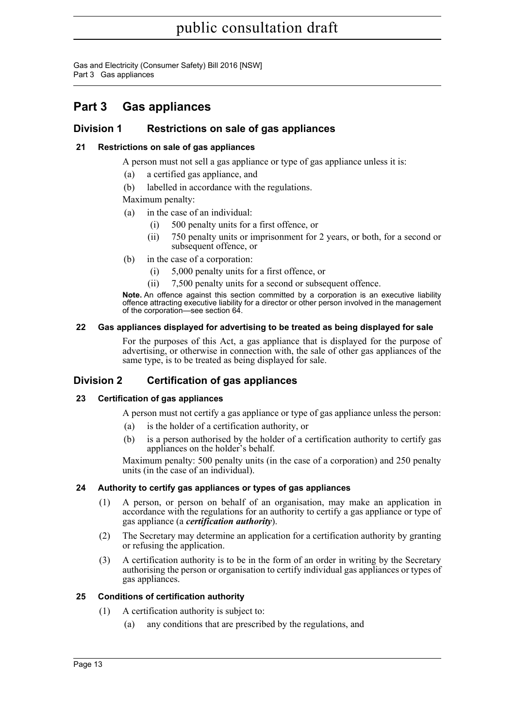Gas and Electricity (Consumer Safety) Bill 2016 [NSW] Part 3 Gas appliances

### <span id="page-27-0"></span>**Part 3 Gas appliances**

#### <span id="page-27-1"></span>**Division 1 Restrictions on sale of gas appliances**

#### <span id="page-27-2"></span>**21 Restrictions on sale of gas appliances**

A person must not sell a gas appliance or type of gas appliance unless it is:

- (a) a certified gas appliance, and
- (b) labelled in accordance with the regulations.

Maximum penalty:

- (a) in the case of an individual:
	- (i) 500 penalty units for a first offence, or
	- (ii) 750 penalty units or imprisonment for 2 years, or both, for a second or subsequent offence, or
- (b) in the case of a corporation:
	- (i) 5,000 penalty units for a first offence, or
	- (ii) 7,500 penalty units for a second or subsequent offence.

**Note.** An offence against this section committed by a corporation is an executive liability offence attracting executive liability for a director or other person involved in the management of the corporation—see section 64.

#### <span id="page-27-3"></span>**22 Gas appliances displayed for advertising to be treated as being displayed for sale**

For the purposes of this Act, a gas appliance that is displayed for the purpose of advertising, or otherwise in connection with, the sale of other gas appliances of the same type, is to be treated as being displayed for sale.

#### <span id="page-27-4"></span>**Division 2 Certification of gas appliances**

#### <span id="page-27-5"></span>**23 Certification of gas appliances**

A person must not certify a gas appliance or type of gas appliance unless the person:

- (a) is the holder of a certification authority, or
- (b) is a person authorised by the holder of a certification authority to certify gas appliances on the holder's behalf.

Maximum penalty: 500 penalty units (in the case of a corporation) and 250 penalty units (in the case of an individual).

#### <span id="page-27-6"></span>**24 Authority to certify gas appliances or types of gas appliances**

- (1) A person, or person on behalf of an organisation, may make an application in accordance with the regulations for an authority to certify a gas appliance or type of gas appliance (a *certification authority*).
- (2) The Secretary may determine an application for a certification authority by granting or refusing the application.
- (3) A certification authority is to be in the form of an order in writing by the Secretary authorising the person or organisation to certify individual gas appliances or types of gas appliances.

#### <span id="page-27-7"></span>**25 Conditions of certification authority**

- (1) A certification authority is subject to:
	- (a) any conditions that are prescribed by the regulations, and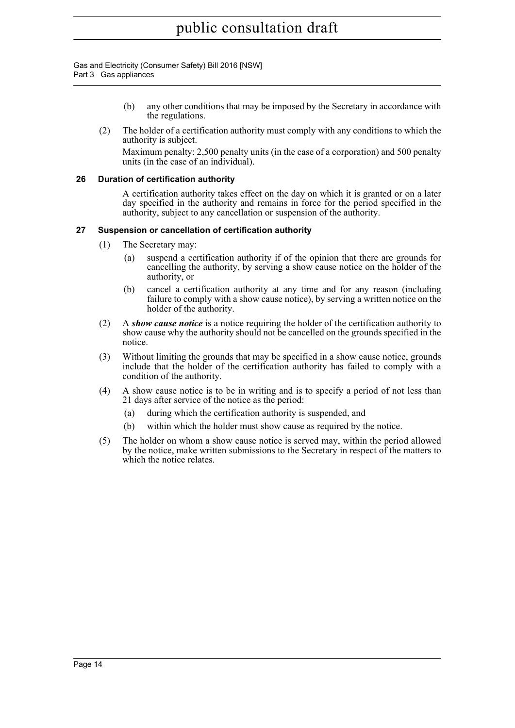Gas and Electricity (Consumer Safety) Bill 2016 [NSW] Part 3 Gas appliances

- (b) any other conditions that may be imposed by the Secretary in accordance with the regulations.
- (2) The holder of a certification authority must comply with any conditions to which the authority is subject. Maximum penalty: 2,500 penalty units (in the case of a corporation) and 500 penalty units (in the case of an individual).

#### <span id="page-28-0"></span>**26 Duration of certification authority**

A certification authority takes effect on the day on which it is granted or on a later day specified in the authority and remains in force for the period specified in the authority, subject to any cancellation or suspension of the authority.

#### <span id="page-28-1"></span>**27 Suspension or cancellation of certification authority**

- (1) The Secretary may:
	- (a) suspend a certification authority if of the opinion that there are grounds for cancelling the authority, by serving a show cause notice on the holder of the authority, or
	- (b) cancel a certification authority at any time and for any reason (including failure to comply with a show cause notice), by serving a written notice on the holder of the authority.
- (2) A *show cause notice* is a notice requiring the holder of the certification authority to show cause why the authority should not be cancelled on the grounds specified in the notice.
- (3) Without limiting the grounds that may be specified in a show cause notice, grounds include that the holder of the certification authority has failed to comply with a condition of the authority.
- (4) A show cause notice is to be in writing and is to specify a period of not less than 21 days after service of the notice as the period:
	- (a) during which the certification authority is suspended, and
	- (b) within which the holder must show cause as required by the notice.
- (5) The holder on whom a show cause notice is served may, within the period allowed by the notice, make written submissions to the Secretary in respect of the matters to which the notice relates.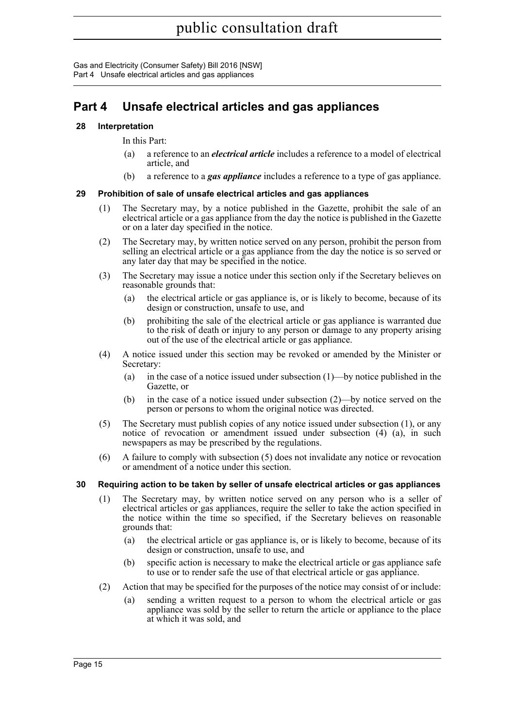Gas and Electricity (Consumer Safety) Bill 2016 [NSW] Part 4 Unsafe electrical articles and gas appliances

### <span id="page-29-0"></span>**Part 4 Unsafe electrical articles and gas appliances**

#### <span id="page-29-1"></span>**28 Interpretation**

In this Part:

- (a) a reference to an *electrical article* includes a reference to a model of electrical article, and
- (b) a reference to a *gas appliance* includes a reference to a type of gas appliance.

#### <span id="page-29-2"></span>**29 Prohibition of sale of unsafe electrical articles and gas appliances**

- (1) The Secretary may, by a notice published in the Gazette, prohibit the sale of an electrical article or a gas appliance from the day the notice is published in the Gazette or on a later day specified in the notice.
- (2) The Secretary may, by written notice served on any person, prohibit the person from selling an electrical article or a gas appliance from the day the notice is so served or any later day that may be specified in the notice.
- (3) The Secretary may issue a notice under this section only if the Secretary believes on reasonable grounds that:
	- (a) the electrical article or gas appliance is, or is likely to become, because of its design or construction, unsafe to use, and
	- (b) prohibiting the sale of the electrical article or gas appliance is warranted due to the risk of death or injury to any person or damage to any property arising out of the use of the electrical article or gas appliance.
- (4) A notice issued under this section may be revoked or amended by the Minister or Secretary:
	- (a) in the case of a notice issued under subsection (1)—by notice published in the Gazette, or
	- (b) in the case of a notice issued under subsection (2)—by notice served on the person or persons to whom the original notice was directed.
- (5) The Secretary must publish copies of any notice issued under subsection (1), or any notice of revocation or amendment issued under subsection (4) (a), in such newspapers as may be prescribed by the regulations.
- (6) A failure to comply with subsection (5) does not invalidate any notice or revocation or amendment of a notice under this section.

#### <span id="page-29-3"></span>**30 Requiring action to be taken by seller of unsafe electrical articles or gas appliances**

- (1) The Secretary may, by written notice served on any person who is a seller of electrical articles or gas appliances, require the seller to take the action specified in the notice within the time so specified, if the Secretary believes on reasonable grounds that:
	- (a) the electrical article or gas appliance is, or is likely to become, because of its design or construction, unsafe to use, and
	- (b) specific action is necessary to make the electrical article or gas appliance safe to use or to render safe the use of that electrical article or gas appliance.
- (2) Action that may be specified for the purposes of the notice may consist of or include:
	- (a) sending a written request to a person to whom the electrical article or gas appliance was sold by the seller to return the article or appliance to the place at which it was sold, and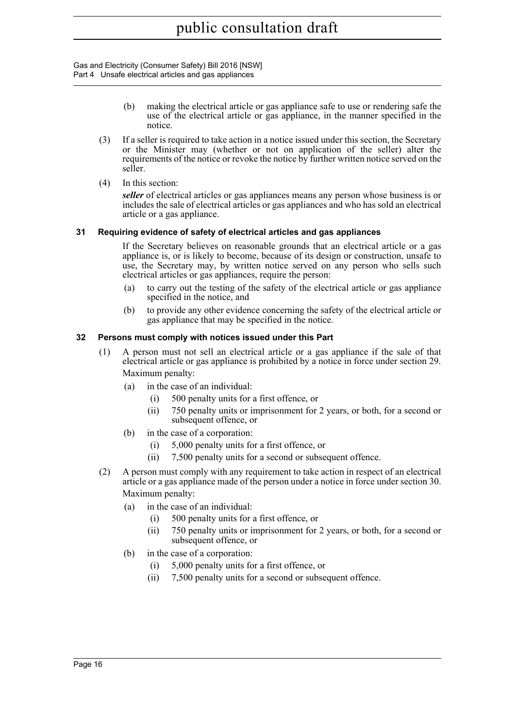Gas and Electricity (Consumer Safety) Bill 2016 [NSW] Part 4 Unsafe electrical articles and gas appliances

- (b) making the electrical article or gas appliance safe to use or rendering safe the use of the electrical article or gas appliance, in the manner specified in the notice.
- (3) If a seller is required to take action in a notice issued under this section, the Secretary or the Minister may (whether or not on application of the seller) alter the requirements of the notice or revoke the notice by further written notice served on the seller.
- (4) In this section:

*seller* of electrical articles or gas appliances means any person whose business is or includes the sale of electrical articles or gas appliances and who has sold an electrical article or a gas appliance.

#### <span id="page-30-0"></span>**31 Requiring evidence of safety of electrical articles and gas appliances**

If the Secretary believes on reasonable grounds that an electrical article or a gas appliance is, or is likely to become, because of its design or construction, unsafe to use, the Secretary may, by written notice served on any person who sells such electrical articles or gas appliances, require the person:

- (a) to carry out the testing of the safety of the electrical article or gas appliance specified in the notice, and
- (b) to provide any other evidence concerning the safety of the electrical article or gas appliance that may be specified in the notice.

#### <span id="page-30-1"></span>**32 Persons must comply with notices issued under this Part**

- (1) A person must not sell an electrical article or a gas appliance if the sale of that electrical article or gas appliance is prohibited by a notice in force under section 29. Maximum penalty:
	- (a) in the case of an individual:
		- (i) 500 penalty units for a first offence, or
		- (ii) 750 penalty units or imprisonment for 2 years, or both, for a second or subsequent offence, or
	- (b) in the case of a corporation:
		- (i) 5,000 penalty units for a first offence, or
		- (ii) 7,500 penalty units for a second or subsequent offence.
- (2) A person must comply with any requirement to take action in respect of an electrical article or a gas appliance made of the person under a notice in force under section 30. Maximum penalty:
	- (a) in the case of an individual:
		- (i) 500 penalty units for a first offence, or
		- (ii) 750 penalty units or imprisonment for 2 years, or both, for a second or subsequent offence, or
	- (b) in the case of a corporation:
		- (i) 5,000 penalty units for a first offence, or
		- (ii) 7,500 penalty units for a second or subsequent offence.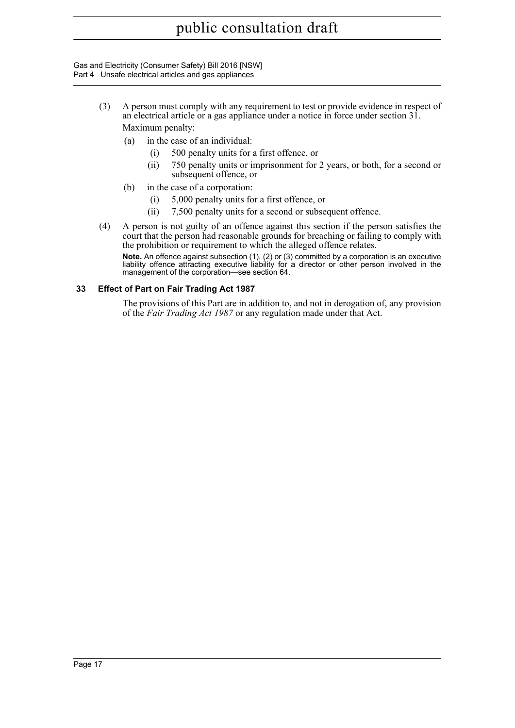Gas and Electricity (Consumer Safety) Bill 2016 [NSW] Part 4 Unsafe electrical articles and gas appliances

- (3) A person must comply with any requirement to test or provide evidence in respect of an electrical article or a gas appliance under a notice in force under section 31. Maximum penalty:
	- (a) in the case of an individual:
		- (i) 500 penalty units for a first offence, or
		- (ii) 750 penalty units or imprisonment for 2 years, or both, for a second or subsequent offence, or
	- (b) in the case of a corporation:
		- (i) 5,000 penalty units for a first offence, or
		- (ii) 7,500 penalty units for a second or subsequent offence.
- (4) A person is not guilty of an offence against this section if the person satisfies the court that the person had reasonable grounds for breaching or failing to comply with the prohibition or requirement to which the alleged offence relates.

**Note.** An offence against subsection (1), (2) or (3) committed by a corporation is an executive liability offence attracting executive liability for a director or other person involved in the management of the corporation—see section 64.

#### <span id="page-31-0"></span>**33 Effect of Part on Fair Trading Act 1987**

The provisions of this Part are in addition to, and not in derogation of, any provision of the *Fair Trading Act 1987* or any regulation made under that Act.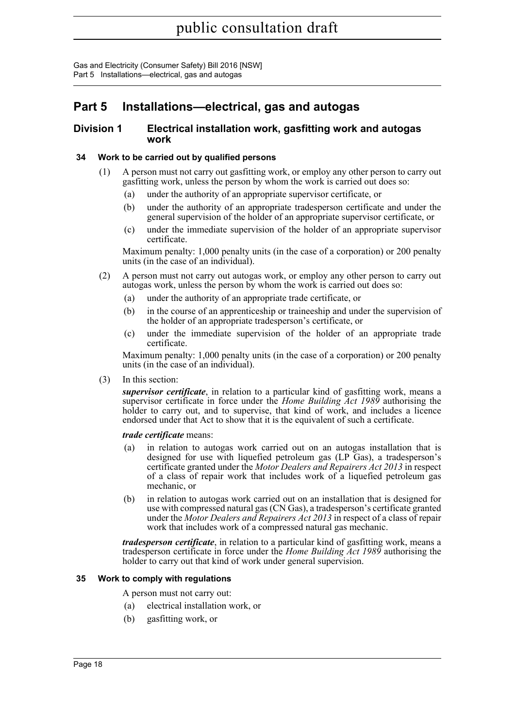Gas and Electricity (Consumer Safety) Bill 2016 [NSW] Part 5 Installations—electrical, gas and autogas

### <span id="page-32-0"></span>**Part 5 Installations—electrical, gas and autogas**

#### <span id="page-32-1"></span>**Division 1 Electrical installation work, gasfitting work and autogas work**

#### <span id="page-32-2"></span>**34 Work to be carried out by qualified persons**

- (1) A person must not carry out gasfitting work, or employ any other person to carry out gasfitting work, unless the person by whom the work is carried out does so:
	- (a) under the authority of an appropriate supervisor certificate, or
	- (b) under the authority of an appropriate tradesperson certificate and under the general supervision of the holder of an appropriate supervisor certificate, or
	- (c) under the immediate supervision of the holder of an appropriate supervisor certificate.

Maximum penalty: 1,000 penalty units (in the case of a corporation) or 200 penalty units (in the case of an individual).

- (2) A person must not carry out autogas work, or employ any other person to carry out autogas work, unless the person by whom the work is carried out does so:
	- (a) under the authority of an appropriate trade certificate, or
	- (b) in the course of an apprenticeship or traineeship and under the supervision of the holder of an appropriate tradesperson's certificate, or
	- (c) under the immediate supervision of the holder of an appropriate trade certificate.

Maximum penalty: 1,000 penalty units (in the case of a corporation) or 200 penalty units (in the case of an individual).

(3) In this section:

*supervisor certificate*, in relation to a particular kind of gasfitting work, means a supervisor certificate in force under the *Home Building Act 1989* authorising the holder to carry out, and to supervise, that kind of work, and includes a licence endorsed under that Act to show that it is the equivalent of such a certificate.

#### *trade certificate* means:

- (a) in relation to autogas work carried out on an autogas installation that is designed for use with liquefied petroleum gas (LP Gas), a tradesperson's certificate granted under the *Motor Dealers and Repairers Act 2013* in respect of a class of repair work that includes work of a liquefied petroleum gas mechanic, or
- (b) in relation to autogas work carried out on an installation that is designed for use with compressed natural gas (CN Gas), a tradesperson's certificate granted under the *Motor Dealers and Repairers Act 2013* in respect of a class of repair work that includes work of a compressed natural gas mechanic.

*tradesperson certificate*, in relation to a particular kind of gasfitting work, means a tradesperson certificate in force under the *Home Building Act 1989* authorising the holder to carry out that kind of work under general supervision.

#### <span id="page-32-3"></span>**35 Work to comply with regulations**

A person must not carry out:

- (a) electrical installation work, or
- (b) gasfitting work, or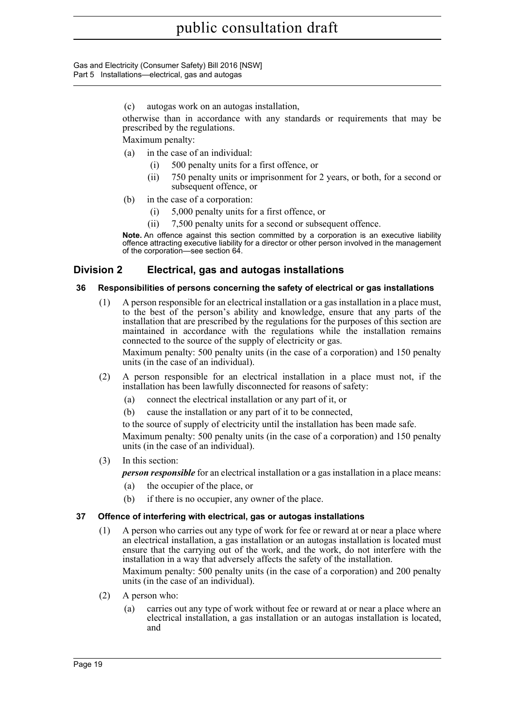Gas and Electricity (Consumer Safety) Bill 2016 [NSW] Part 5 Installations—electrical, gas and autogas

(c) autogas work on an autogas installation,

otherwise than in accordance with any standards or requirements that may be prescribed by the regulations.

Maximum penalty:

- (a) in the case of an individual:
	- (i) 500 penalty units for a first offence, or
	- (ii) 750 penalty units or imprisonment for 2 years, or both, for a second or subsequent offence, or
- (b) in the case of a corporation:
	- (i) 5,000 penalty units for a first offence, or
	- (ii) 7,500 penalty units for a second or subsequent offence.

**Note.** An offence against this section committed by a corporation is an executive liability offence attracting executive liability for a director or other person involved in the management of the corporation—see section 64.

#### <span id="page-33-0"></span>**Division 2 Electrical, gas and autogas installations**

#### <span id="page-33-1"></span>**36 Responsibilities of persons concerning the safety of electrical or gas installations**

(1) A person responsible for an electrical installation or a gas installation in a place must, to the best of the person's ability and knowledge, ensure that any parts of the installation that are prescribed by the regulations for the purposes of this section are maintained in accordance with the regulations while the installation remains connected to the source of the supply of electricity or gas.

Maximum penalty: 500 penalty units (in the case of a corporation) and 150 penalty units (in the case of an individual).

- (2) A person responsible for an electrical installation in a place must not, if the installation has been lawfully disconnected for reasons of safety:
	- (a) connect the electrical installation or any part of it, or
	- (b) cause the installation or any part of it to be connected,

to the source of supply of electricity until the installation has been made safe.

Maximum penalty: 500 penalty units (in the case of a corporation) and 150 penalty units (in the case of an individual).

(3) In this section:

*person responsible* for an electrical installation or a gas installation in a place means:

- (a) the occupier of the place, or
- (b) if there is no occupier, any owner of the place.

#### <span id="page-33-2"></span>**37 Offence of interfering with electrical, gas or autogas installations**

(1) A person who carries out any type of work for fee or reward at or near a place where an electrical installation, a gas installation or an autogas installation is located must ensure that the carrying out of the work, and the work, do not interfere with the installation in a way that adversely affects the safety of the installation.

Maximum penalty: 500 penalty units (in the case of a corporation) and 200 penalty units (in the case of an individual).

- (2) A person who:
	- (a) carries out any type of work without fee or reward at or near a place where an electrical installation, a gas installation or an autogas installation is located, and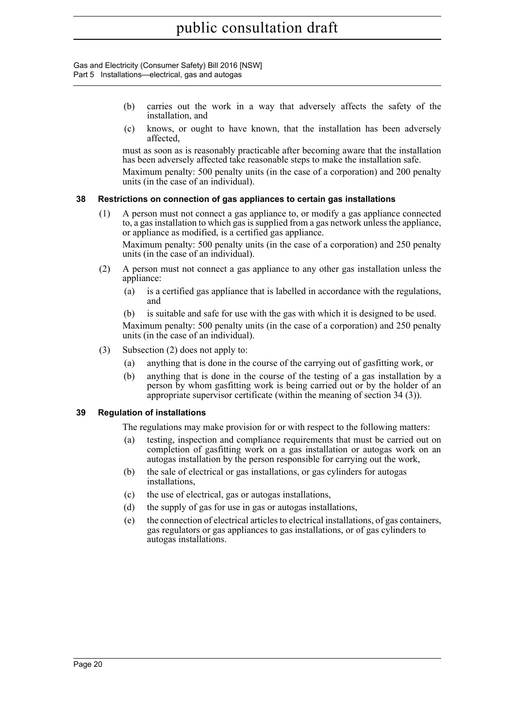Gas and Electricity (Consumer Safety) Bill 2016 [NSW] Part 5 Installations—electrical, gas and autogas

- (b) carries out the work in a way that adversely affects the safety of the installation, and
- (c) knows, or ought to have known, that the installation has been adversely affected,

must as soon as is reasonably practicable after becoming aware that the installation has been adversely affected take reasonable steps to make the installation safe.

Maximum penalty: 500 penalty units (in the case of a corporation) and 200 penalty units (in the case of an individual).

#### <span id="page-34-0"></span>**38 Restrictions on connection of gas appliances to certain gas installations**

(1) A person must not connect a gas appliance to, or modify a gas appliance connected to, a gas installation to which gas is supplied from a gas network unless the appliance, or appliance as modified, is a certified gas appliance.

Maximum penalty: 500 penalty units (in the case of a corporation) and 250 penalty units (in the case of an individual).

- (2) A person must not connect a gas appliance to any other gas installation unless the appliance:
	- (a) is a certified gas appliance that is labelled in accordance with the regulations, and

(b) is suitable and safe for use with the gas with which it is designed to be used. Maximum penalty: 500 penalty units (in the case of a corporation) and 250 penalty units (in the case of an individual).

- (3) Subsection (2) does not apply to:
	- (a) anything that is done in the course of the carrying out of gasfitting work, or
	- (b) anything that is done in the course of the testing of a gas installation by a person by whom gasfitting work is being carried out or by the holder of an appropriate supervisor certificate (within the meaning of section 34 (3)).

#### <span id="page-34-1"></span>**39 Regulation of installations**

The regulations may make provision for or with respect to the following matters:

- (a) testing, inspection and compliance requirements that must be carried out on completion of gasfitting work on a gas installation or autogas work on an autogas installation by the person responsible for carrying out the work,
- (b) the sale of electrical or gas installations, or gas cylinders for autogas installations,
- (c) the use of electrical, gas or autogas installations,
- (d) the supply of gas for use in gas or autogas installations,
- (e) the connection of electrical articles to electrical installations, of gas containers, gas regulators or gas appliances to gas installations, or of gas cylinders to autogas installations.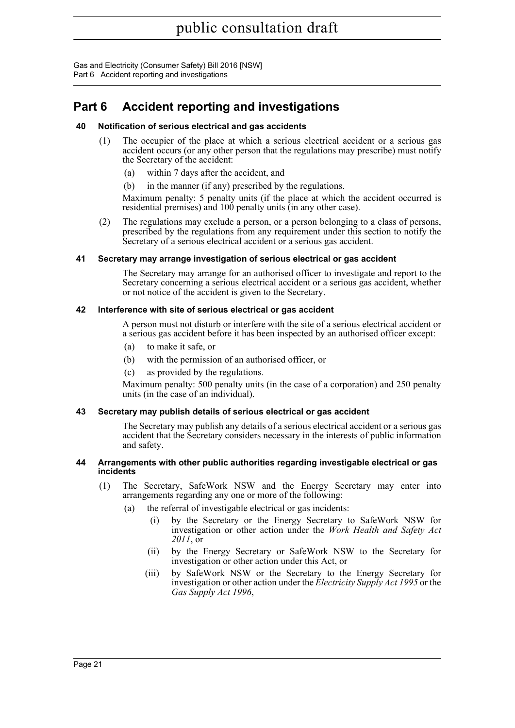Gas and Electricity (Consumer Safety) Bill 2016 [NSW] Part 6 Accident reporting and investigations

### <span id="page-35-0"></span>**Part 6 Accident reporting and investigations**

#### <span id="page-35-1"></span>**40 Notification of serious electrical and gas accidents**

- (1) The occupier of the place at which a serious electrical accident or a serious gas accident occurs (or any other person that the regulations may prescribe) must notify the Secretary of the accident:
	- (a) within 7 days after the accident, and
	- (b) in the manner (if any) prescribed by the regulations.

Maximum penalty: 5 penalty units (if the place at which the accident occurred is residential premises) and 100 penalty units (in any other case).

(2) The regulations may exclude a person, or a person belonging to a class of persons, prescribed by the regulations from any requirement under this section to notify the Secretary of a serious electrical accident or a serious gas accident.

#### <span id="page-35-2"></span>**41 Secretary may arrange investigation of serious electrical or gas accident**

The Secretary may arrange for an authorised officer to investigate and report to the Secretary concerning a serious electrical accident or a serious gas accident, whether or not notice of the accident is given to the Secretary.

#### <span id="page-35-3"></span>**42 Interference with site of serious electrical or gas accident**

A person must not disturb or interfere with the site of a serious electrical accident or a serious gas accident before it has been inspected by an authorised officer except:

- (a) to make it safe, or
- (b) with the permission of an authorised officer, or
- (c) as provided by the regulations.

Maximum penalty: 500 penalty units (in the case of a corporation) and 250 penalty units (in the case of an individual).

#### <span id="page-35-4"></span>**43 Secretary may publish details of serious electrical or gas accident**

The Secretary may publish any details of a serious electrical accident or a serious gas accident that the Secretary considers necessary in the interests of public information and safety.

#### <span id="page-35-5"></span>**44 Arrangements with other public authorities regarding investigable electrical or gas incidents**

- (1) The Secretary, SafeWork NSW and the Energy Secretary may enter into arrangements regarding any one or more of the following:
	- (a) the referral of investigable electrical or gas incidents:
		- (i) by the Secretary or the Energy Secretary to SafeWork NSW for investigation or other action under the *Work Health and Safety Act 2011*, or
		- (ii) by the Energy Secretary or SafeWork NSW to the Secretary for investigation or other action under this Act, or
		- (iii) by SafeWork NSW or the Secretary to the Energy Secretary for investigation or other action under the *Electricity Supply Act 1995* or the *Gas Supply Act 1996*,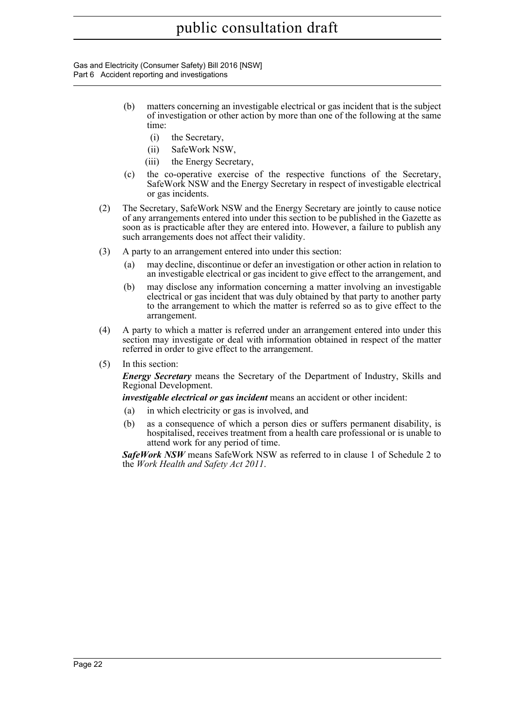Gas and Electricity (Consumer Safety) Bill 2016 [NSW] Part 6 Accident reporting and investigations

- (b) matters concerning an investigable electrical or gas incident that is the subject of investigation or other action by more than one of the following at the same time:
	- (i) the Secretary,
	- (ii) SafeWork NSW,
	- (iii) the Energy Secretary,
- (c) the co-operative exercise of the respective functions of the Secretary, SafeWork NSW and the Energy Secretary in respect of investigable electrical or gas incidents.
- (2) The Secretary, SafeWork NSW and the Energy Secretary are jointly to cause notice of any arrangements entered into under this section to be published in the Gazette as soon as is practicable after they are entered into. However, a failure to publish any such arrangements does not affect their validity.
- (3) A party to an arrangement entered into under this section:
	- (a) may decline, discontinue or defer an investigation or other action in relation to an investigable electrical or gas incident to give effect to the arrangement, and
	- (b) may disclose any information concerning a matter involving an investigable electrical or gas incident that was duly obtained by that party to another party to the arrangement to which the matter is referred so as to give effect to the arrangement.
- (4) A party to which a matter is referred under an arrangement entered into under this section may investigate or deal with information obtained in respect of the matter referred in order to give effect to the arrangement.
- (5) In this section:

*Energy Secretary* means the Secretary of the Department of Industry, Skills and Regional Development.

*investigable electrical or gas incident* means an accident or other incident:

- (a) in which electricity or gas is involved, and
- (b) as a consequence of which a person dies or suffers permanent disability, is hospitalised, receives treatment from a health care professional or is unable to attend work for any period of time.

*SafeWork NSW* means SafeWork NSW as referred to in clause 1 of Schedule 2 to the *Work Health and Safety Act 2011*.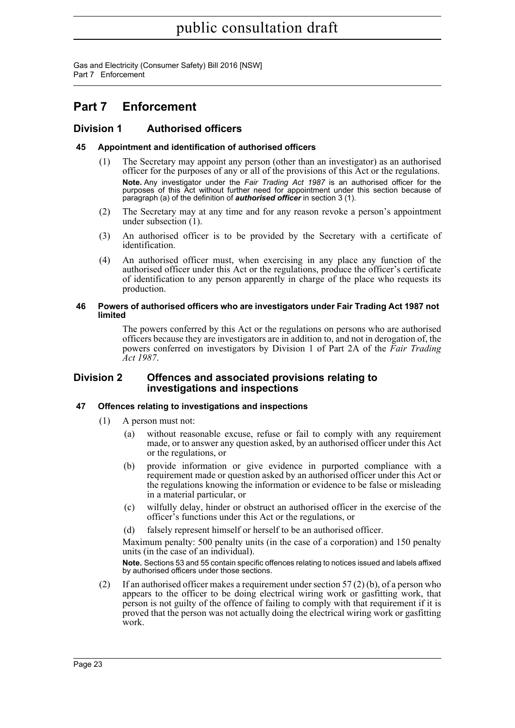Gas and Electricity (Consumer Safety) Bill 2016 [NSW] Part 7 Enforcement

### <span id="page-37-0"></span>**Part 7 Enforcement**

#### <span id="page-37-1"></span>**Division 1 Authorised officers**

#### <span id="page-37-2"></span>**45 Appointment and identification of authorised officers**

- (1) The Secretary may appoint any person (other than an investigator) as an authorised officer for the purposes of any or all of the provisions of this Act or the regulations. **Note.** Any investigator under the *Fair Trading Act 1987* is an authorised officer for the purposes of this Act without further need for appointment under this section because of paragraph (a) of the definition of *authorised officer* in section 3 (1).
- (2) The Secretary may at any time and for any reason revoke a person's appointment under subsection (1).
- (3) An authorised officer is to be provided by the Secretary with a certificate of identification.
- (4) An authorised officer must, when exercising in any place any function of the authorised officer under this Act or the regulations, produce the officer's certificate of identification to any person apparently in charge of the place who requests its production.

#### <span id="page-37-3"></span>**46 Powers of authorised officers who are investigators under Fair Trading Act 1987 not limited**

The powers conferred by this Act or the regulations on persons who are authorised officers because they are investigators are in addition to, and not in derogation of, the powers conferred on investigators by Division 1 of Part 2A of the *Fair Trading Act 1987*.

#### <span id="page-37-4"></span>**Division 2 Offences and associated provisions relating to investigations and inspections**

#### <span id="page-37-5"></span>**47 Offences relating to investigations and inspections**

- (1) A person must not:
	- (a) without reasonable excuse, refuse or fail to comply with any requirement made, or to answer any question asked, by an authorised officer under this Act or the regulations, or
	- (b) provide information or give evidence in purported compliance with a requirement made or question asked by an authorised officer under this Act or the regulations knowing the information or evidence to be false or misleading in a material particular, or
	- (c) wilfully delay, hinder or obstruct an authorised officer in the exercise of the officer's functions under this Act or the regulations, or
	- (d) falsely represent himself or herself to be an authorised officer.

Maximum penalty: 500 penalty units (in the case of a corporation) and 150 penalty units (in the case of an individual).

**Note.** Sections 53 and 55 contain specific offences relating to notices issued and labels affixed by authorised officers under those sections.

(2) If an authorised officer makes a requirement under section 57 (2) (b), of a person who appears to the officer to be doing electrical wiring work or gasfitting work, that person is not guilty of the offence of failing to comply with that requirement if it is proved that the person was not actually doing the electrical wiring work or gasfitting work.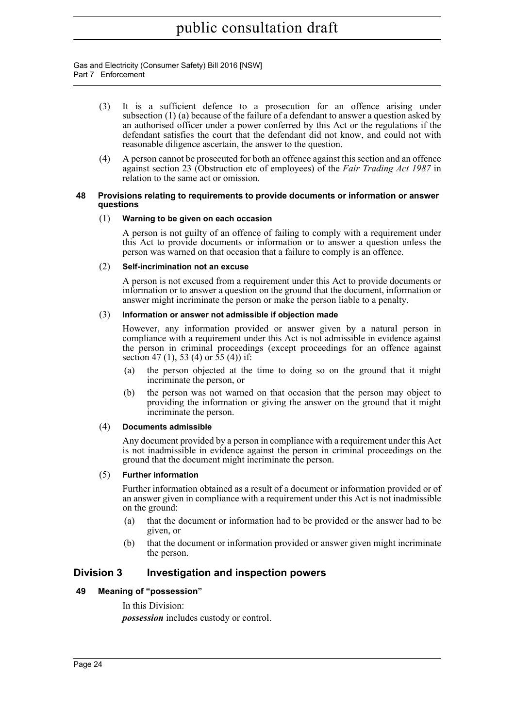Gas and Electricity (Consumer Safety) Bill 2016 [NSW] Part 7 Enforcement

- (3) It is a sufficient defence to a prosecution for an offence arising under subsection (1) (a) because of the failure of a defendant to answer a question asked by an authorised officer under a power conferred by this Act or the regulations if the defendant satisfies the court that the defendant did not know, and could not with reasonable diligence ascertain, the answer to the question.
- (4) A person cannot be prosecuted for both an offence against this section and an offence against section 23 (Obstruction etc of employees) of the *Fair Trading Act 1987* in relation to the same act or omission.

#### <span id="page-38-0"></span>**48 Provisions relating to requirements to provide documents or information or answer questions**

#### (1) **Warning to be given on each occasion**

A person is not guilty of an offence of failing to comply with a requirement under this Act to provide documents or information or to answer a question unless the person was warned on that occasion that a failure to comply is an offence.

#### (2) **Self-incrimination not an excuse**

A person is not excused from a requirement under this Act to provide documents or information or to answer a question on the ground that the document, information or answer might incriminate the person or make the person liable to a penalty.

#### (3) **Information or answer not admissible if objection made**

However, any information provided or answer given by a natural person in compliance with a requirement under this Act is not admissible in evidence against the person in criminal proceedings (except proceedings for an offence against section 47 (1), 53 (4) or  $55(4)$  if:

- (a) the person objected at the time to doing so on the ground that it might incriminate the person, or
- (b) the person was not warned on that occasion that the person may object to providing the information or giving the answer on the ground that it might incriminate the person.

#### (4) **Documents admissible**

Any document provided by a person in compliance with a requirement under this Act is not inadmissible in evidence against the person in criminal proceedings on the ground that the document might incriminate the person.

#### (5) **Further information**

Further information obtained as a result of a document or information provided or of an answer given in compliance with a requirement under this Act is not inadmissible on the ground:

- (a) that the document or information had to be provided or the answer had to be given, or
- (b) that the document or information provided or answer given might incriminate the person.

#### <span id="page-38-1"></span>**Division 3 Investigation and inspection powers**

#### <span id="page-38-2"></span>**49 Meaning of "possession"**

In this Division:

*possession* includes custody or control.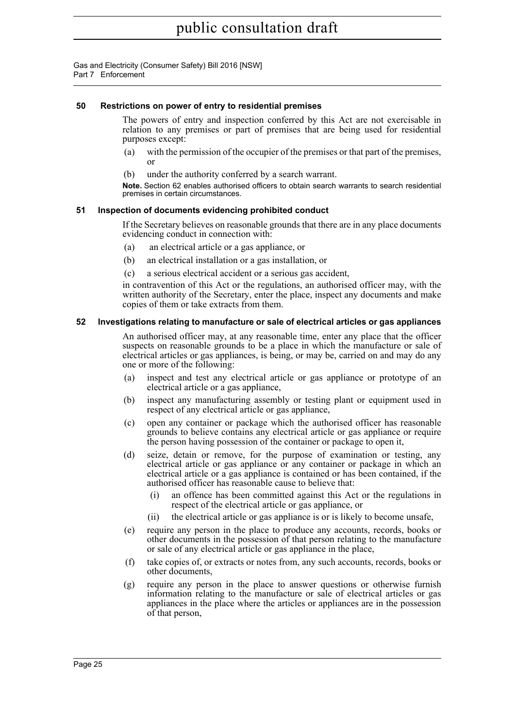#### <span id="page-39-0"></span>**50 Restrictions on power of entry to residential premises**

The powers of entry and inspection conferred by this Act are not exercisable in relation to any premises or part of premises that are being used for residential purposes except:

- (a) with the permission of the occupier of the premises or that part of the premises, or
- (b) under the authority conferred by a search warrant.

**Note.** Section 62 enables authorised officers to obtain search warrants to search residential premises in certain circumstances.

#### <span id="page-39-1"></span>**51 Inspection of documents evidencing prohibited conduct**

If the Secretary believes on reasonable grounds that there are in any place documents evidencing conduct in connection with:

- (a) an electrical article or a gas appliance, or
- (b) an electrical installation or a gas installation, or
- (c) a serious electrical accident or a serious gas accident,

in contravention of this Act or the regulations, an authorised officer may, with the written authority of the Secretary, enter the place, inspect any documents and make copies of them or take extracts from them.

#### <span id="page-39-2"></span>**52 Investigations relating to manufacture or sale of electrical articles or gas appliances**

An authorised officer may, at any reasonable time, enter any place that the officer suspects on reasonable grounds to be a place in which the manufacture or sale of electrical articles or gas appliances, is being, or may be, carried on and may do any one or more of the following:

- (a) inspect and test any electrical article or gas appliance or prototype of an electrical article or a gas appliance,
- (b) inspect any manufacturing assembly or testing plant or equipment used in respect of any electrical article or gas appliance,
- (c) open any container or package which the authorised officer has reasonable grounds to believe contains any electrical article or gas appliance or require the person having possession of the container or package to open it,
- (d) seize, detain or remove, for the purpose of examination or testing, any electrical article or gas appliance or any container or package in which an electrical article or a gas appliance is contained or has been contained, if the authorised officer has reasonable cause to believe that:
	- (i) an offence has been committed against this Act or the regulations in respect of the electrical article or gas appliance, or
	- (ii) the electrical article or gas appliance is or is likely to become unsafe,
- (e) require any person in the place to produce any accounts, records, books or other documents in the possession of that person relating to the manufacture or sale of any electrical article or gas appliance in the place,
- (f) take copies of, or extracts or notes from, any such accounts, records, books or other documents,
- (g) require any person in the place to answer questions or otherwise furnish information relating to the manufacture or sale of electrical articles or gas appliances in the place where the articles or appliances are in the possession of that person,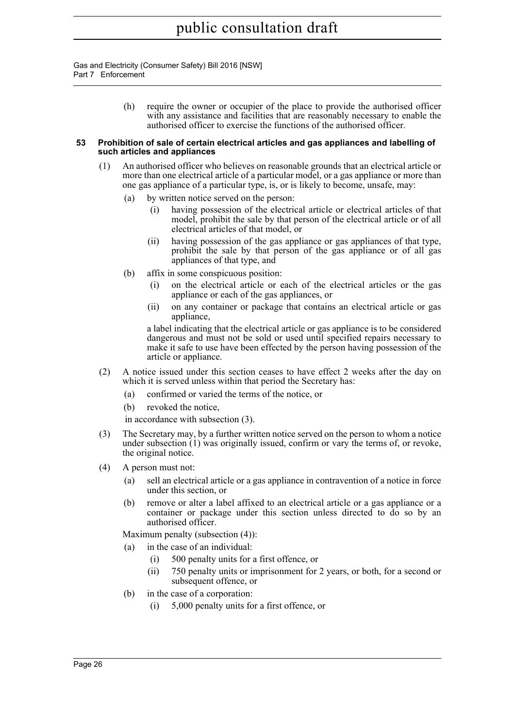> (h) require the owner or occupier of the place to provide the authorised officer with any assistance and facilities that are reasonably necessary to enable the authorised officer to exercise the functions of the authorised officer.

#### <span id="page-40-0"></span>**53 Prohibition of sale of certain electrical articles and gas appliances and labelling of such articles and appliances**

- (1) An authorised officer who believes on reasonable grounds that an electrical article or more than one electrical article of a particular model, or a gas appliance or more than one gas appliance of a particular type, is, or is likely to become, unsafe, may:
	- (a) by written notice served on the person:
		- (i) having possession of the electrical article or electrical articles of that model, prohibit the sale by that person of the electrical article or of all electrical articles of that model, or
		- (ii) having possession of the gas appliance or gas appliances of that type, prohibit the sale by that person of the gas appliance or of all gas appliances of that type, and
	- (b) affix in some conspicuous position:
		- on the electrical article or each of the electrical articles or the gas appliance or each of the gas appliances, or
		- (ii) on any container or package that contains an electrical article or gas appliance,

a label indicating that the electrical article or gas appliance is to be considered dangerous and must not be sold or used until specified repairs necessary to make it safe to use have been effected by the person having possession of the article or appliance.

- (2) A notice issued under this section ceases to have effect 2 weeks after the day on which it is served unless within that period the Secretary has:
	- (a) confirmed or varied the terms of the notice, or
	- (b) revoked the notice,

in accordance with subsection (3).

- (3) The Secretary may, by a further written notice served on the person to whom a notice under subsection (1) was originally issued, confirm or vary the terms of, or revoke, the original notice.
- (4) A person must not:
	- (a) sell an electrical article or a gas appliance in contravention of a notice in force under this section, or
	- (b) remove or alter a label affixed to an electrical article or a gas appliance or a container or package under this section unless directed to do so by an authorised officer.

Maximum penalty (subsection (4)):

- (a) in the case of an individual:
	- (i) 500 penalty units for a first offence, or
	- (ii) 750 penalty units or imprisonment for 2 years, or both, for a second or subsequent offence, or
- (b) in the case of a corporation:
	- (i) 5,000 penalty units for a first offence, or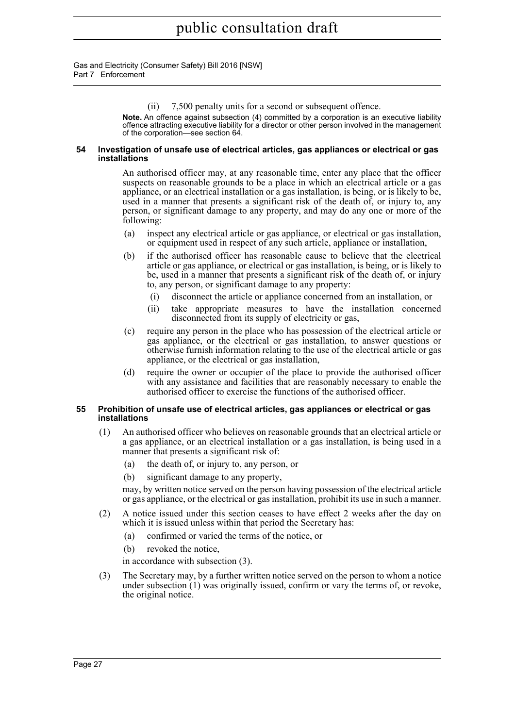(ii) 7,500 penalty units for a second or subsequent offence.

**Note.** An offence against subsection (4) committed by a corporation is an executive liability offence attracting executive liability for a director or other person involved in the management of the corporation—see section 64.

#### <span id="page-41-0"></span>**54 Investigation of unsafe use of electrical articles, gas appliances or electrical or gas installations**

An authorised officer may, at any reasonable time, enter any place that the officer suspects on reasonable grounds to be a place in which an electrical article or a gas appliance, or an electrical installation or a gas installation, is being, or is likely to be, used in a manner that presents a significant risk of the death of, or injury to, any person, or significant damage to any property, and may do any one or more of the following:

- (a) inspect any electrical article or gas appliance, or electrical or gas installation, or equipment used in respect of any such article, appliance or installation,
- (b) if the authorised officer has reasonable cause to believe that the electrical article or gas appliance, or electrical or gas installation, is being, or is likely to be, used in a manner that presents a significant risk of the death of, or injury to, any person, or significant damage to any property:
	- (i) disconnect the article or appliance concerned from an installation, or
	- (ii) take appropriate measures to have the installation concerned disconnected from its supply of electricity or gas,
- (c) require any person in the place who has possession of the electrical article or gas appliance, or the electrical or gas installation, to answer questions or otherwise furnish information relating to the use of the electrical article or gas appliance, or the electrical or gas installation,
- (d) require the owner or occupier of the place to provide the authorised officer with any assistance and facilities that are reasonably necessary to enable the authorised officer to exercise the functions of the authorised officer.

#### <span id="page-41-1"></span>**55 Prohibition of unsafe use of electrical articles, gas appliances or electrical or gas installations**

- (1) An authorised officer who believes on reasonable grounds that an electrical article or a gas appliance, or an electrical installation or a gas installation, is being used in a manner that presents a significant risk of:
	- (a) the death of, or injury to, any person, or
	- (b) significant damage to any property,

may, by written notice served on the person having possession of the electrical article or gas appliance, or the electrical or gas installation, prohibit its use in such a manner.

- (2) A notice issued under this section ceases to have effect 2 weeks after the day on which it is issued unless within that period the Secretary has:
	- (a) confirmed or varied the terms of the notice, or
	- (b) revoked the notice,

in accordance with subsection (3).

(3) The Secretary may, by a further written notice served on the person to whom a notice under subsection (1) was originally issued, confirm or vary the terms of, or revoke, the original notice.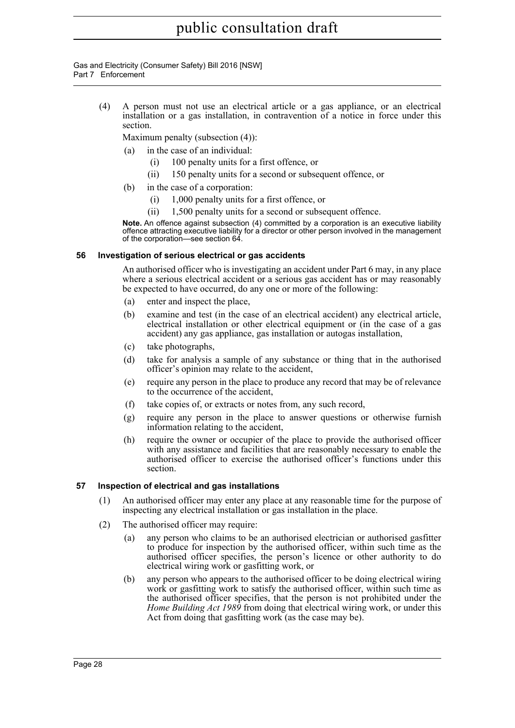Gas and Electricity (Consumer Safety) Bill 2016 [NSW] Part 7 Enforcement

> (4) A person must not use an electrical article or a gas appliance, or an electrical installation or a gas installation, in contravention of a notice in force under this section.

Maximum penalty (subsection (4)):

- (a) in the case of an individual:
	- (i) 100 penalty units for a first offence, or
	- (ii) 150 penalty units for a second or subsequent offence, or
- (b) in the case of a corporation:
	- (i) 1,000 penalty units for a first offence, or
	- (ii) 1,500 penalty units for a second or subsequent offence.

**Note.** An offence against subsection (4) committed by a corporation is an executive liability offence attracting executive liability for a director or other person involved in the management of the corporation—see section 64.

#### <span id="page-42-0"></span>**56 Investigation of serious electrical or gas accidents**

An authorised officer who is investigating an accident under Part 6 may, in any place where a serious electrical accident or a serious gas accident has or may reasonably be expected to have occurred, do any one or more of the following:

- (a) enter and inspect the place,
- (b) examine and test (in the case of an electrical accident) any electrical article, electrical installation or other electrical equipment or (in the case of a gas accident) any gas appliance, gas installation or autogas installation,
- (c) take photographs,
- (d) take for analysis a sample of any substance or thing that in the authorised officer's opinion may relate to the accident,
- (e) require any person in the place to produce any record that may be of relevance to the occurrence of the accident,
- (f) take copies of, or extracts or notes from, any such record,
- (g) require any person in the place to answer questions or otherwise furnish information relating to the accident,
- (h) require the owner or occupier of the place to provide the authorised officer with any assistance and facilities that are reasonably necessary to enable the authorised officer to exercise the authorised officer's functions under this section.

#### <span id="page-42-1"></span>**57 Inspection of electrical and gas installations**

- (1) An authorised officer may enter any place at any reasonable time for the purpose of inspecting any electrical installation or gas installation in the place.
- (2) The authorised officer may require:
	- (a) any person who claims to be an authorised electrician or authorised gasfitter to produce for inspection by the authorised officer, within such time as the authorised officer specifies, the person's licence or other authority to do electrical wiring work or gasfitting work, or
	- (b) any person who appears to the authorised officer to be doing electrical wiring work or gasfitting work to satisfy the authorised officer, within such time as the authorised officer specifies, that the person is not prohibited under the *Home Building Act 1989* from doing that electrical wiring work, or under this Act from doing that gasfitting work (as the case may be).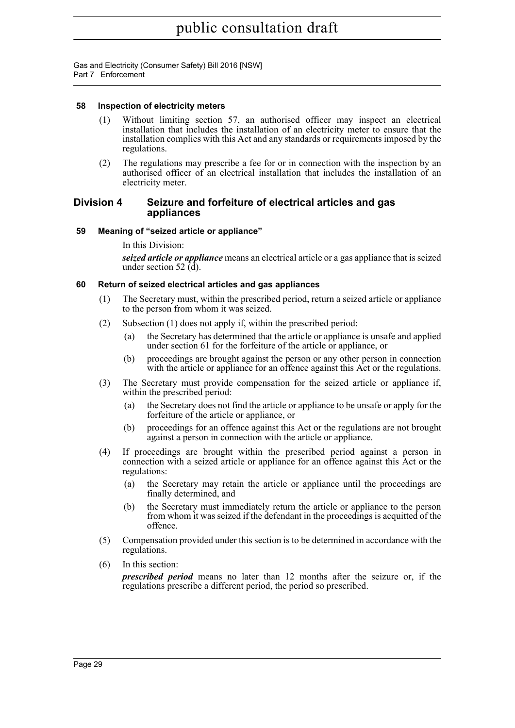#### <span id="page-43-0"></span>**58 Inspection of electricity meters**

- (1) Without limiting section 57, an authorised officer may inspect an electrical installation that includes the installation of an electricity meter to ensure that the installation complies with this Act and any standards or requirements imposed by the regulations.
- (2) The regulations may prescribe a fee for or in connection with the inspection by an authorised officer of an electrical installation that includes the installation of an electricity meter.

#### <span id="page-43-1"></span>**Division 4 Seizure and forfeiture of electrical articles and gas appliances**

#### <span id="page-43-2"></span>**59 Meaning of "seized article or appliance"**

In this Division:

*seized article or appliance* means an electrical article or a gas appliance that is seized under section 52  $(d)$ .

#### <span id="page-43-3"></span>**60 Return of seized electrical articles and gas appliances**

- (1) The Secretary must, within the prescribed period, return a seized article or appliance to the person from whom it was seized.
- (2) Subsection (1) does not apply if, within the prescribed period:
	- (a) the Secretary has determined that the article or appliance is unsafe and applied under section 61 for the forfeiture of the article or appliance, or
	- (b) proceedings are brought against the person or any other person in connection with the article or appliance for an offence against this Act or the regulations.
- (3) The Secretary must provide compensation for the seized article or appliance if, within the prescribed period:
	- (a) the Secretary does not find the article or appliance to be unsafe or apply for the forfeiture of the article or appliance, or
	- (b) proceedings for an offence against this Act or the regulations are not brought against a person in connection with the article or appliance.
- (4) If proceedings are brought within the prescribed period against a person in connection with a seized article or appliance for an offence against this Act or the regulations:
	- (a) the Secretary may retain the article or appliance until the proceedings are finally determined, and
	- (b) the Secretary must immediately return the article or appliance to the person from whom it was seized if the defendant in the proceedings is acquitted of the offence.
- (5) Compensation provided under this section is to be determined in accordance with the regulations.
- (6) In this section:

*prescribed period* means no later than 12 months after the seizure or, if the regulations prescribe a different period, the period so prescribed.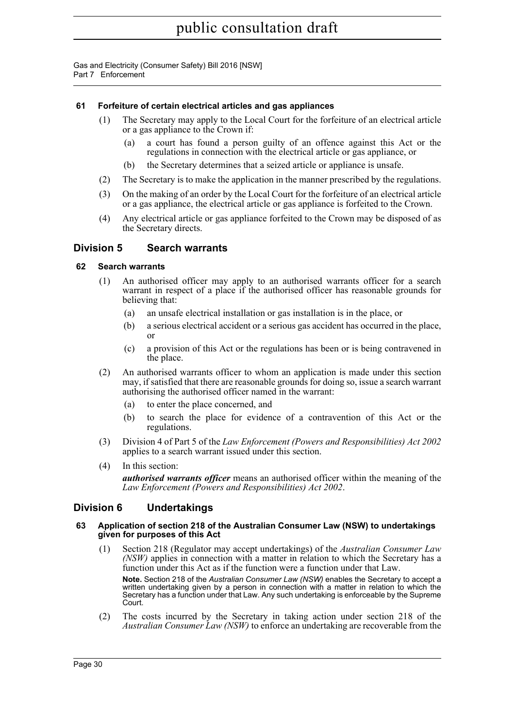#### <span id="page-44-0"></span>**61 Forfeiture of certain electrical articles and gas appliances**

- (1) The Secretary may apply to the Local Court for the forfeiture of an electrical article or a gas appliance to the Crown if:
	- (a) a court has found a person guilty of an offence against this Act or the regulations in connection with the electrical article or gas appliance, or
	- (b) the Secretary determines that a seized article or appliance is unsafe.
- (2) The Secretary is to make the application in the manner prescribed by the regulations.
- (3) On the making of an order by the Local Court for the forfeiture of an electrical article or a gas appliance, the electrical article or gas appliance is forfeited to the Crown.
- (4) Any electrical article or gas appliance forfeited to the Crown may be disposed of as the Secretary directs.

#### <span id="page-44-1"></span>**Division 5 Search warrants**

#### <span id="page-44-2"></span>**62 Search warrants**

- (1) An authorised officer may apply to an authorised warrants officer for a search warrant in respect of a place if the authorised officer has reasonable grounds for believing that:
	- (a) an unsafe electrical installation or gas installation is in the place, or
	- (b) a serious electrical accident or a serious gas accident has occurred in the place, or
	- (c) a provision of this Act or the regulations has been or is being contravened in the place.
- (2) An authorised warrants officer to whom an application is made under this section may, if satisfied that there are reasonable grounds for doing so, issue a search warrant authorising the authorised officer named in the warrant:
	- (a) to enter the place concerned, and
	- (b) to search the place for evidence of a contravention of this Act or the regulations.
- (3) Division 4 of Part 5 of the *Law Enforcement (Powers and Responsibilities) Act 2002* applies to a search warrant issued under this section.
- (4) In this section:

*authorised warrants officer* means an authorised officer within the meaning of the *Law Enforcement (Powers and Responsibilities) Act 2002*.

#### <span id="page-44-3"></span>**Division 6 Undertakings**

#### <span id="page-44-4"></span>**63 Application of section 218 of the Australian Consumer Law (NSW) to undertakings given for purposes of this Act**

(1) Section 218 (Regulator may accept undertakings) of the *Australian Consumer Law (NSW)* applies in connection with a matter in relation to which the Secretary has a function under this Act as if the function were a function under that Law.

**Note.** Section 218 of the *Australian Consumer Law (NSW)* enables the Secretary to accept a written undertaking given by a person in connection with a matter in relation to which the Secretary has a function under that Law. Any such undertaking is enforceable by the Supreme Court.

(2) The costs incurred by the Secretary in taking action under section 218 of the *Australian Consumer Law (NSW)* to enforce an undertaking are recoverable from the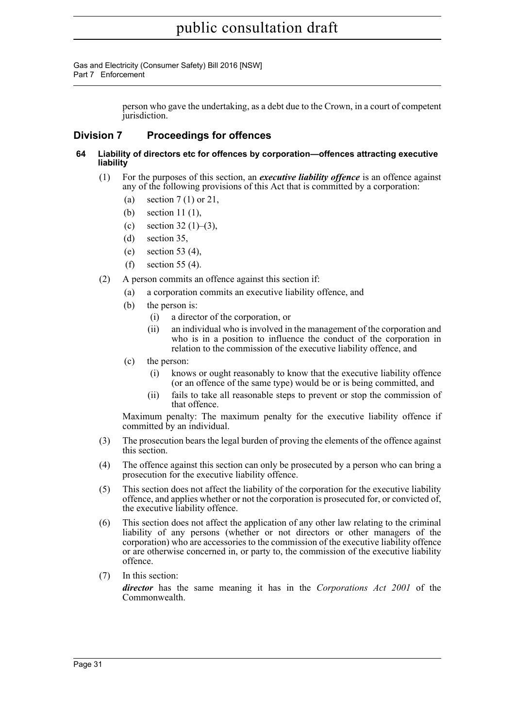Gas and Electricity (Consumer Safety) Bill 2016 [NSW] Part 7 Enforcement

> person who gave the undertaking, as a debt due to the Crown, in a court of competent jurisdiction.

#### <span id="page-45-0"></span>**Division 7 Proceedings for offences**

- <span id="page-45-1"></span>**64 Liability of directors etc for offences by corporation—offences attracting executive liability**
	- (1) For the purposes of this section, an *executive liability offence* is an offence against any of the following provisions of this Act that is committed by a corporation:
		- (a) section 7 (1) or 21,
		- (b) section 11 (1),
		- (c) section  $32(1)–(3)$ ,
		- (d) section 35,
		- (e) section 53 (4),
		- (f) section 55 (4).
	- (2) A person commits an offence against this section if:
		- (a) a corporation commits an executive liability offence, and
		- (b) the person is:
			- (i) a director of the corporation, or
			- (ii) an individual who is involved in the management of the corporation and who is in a position to influence the conduct of the corporation in relation to the commission of the executive liability offence, and
		- (c) the person:
			- (i) knows or ought reasonably to know that the executive liability offence (or an offence of the same type) would be or is being committed, and
			- (ii) fails to take all reasonable steps to prevent or stop the commission of that offence.

Maximum penalty: The maximum penalty for the executive liability offence if committed by an individual.

- (3) The prosecution bears the legal burden of proving the elements of the offence against this section.
- (4) The offence against this section can only be prosecuted by a person who can bring a prosecution for the executive liability offence.
- (5) This section does not affect the liability of the corporation for the executive liability offence, and applies whether or not the corporation is prosecuted for, or convicted of, the executive liability offence.
- (6) This section does not affect the application of any other law relating to the criminal liability of any persons (whether or not directors or other managers of the corporation) who are accessories to the commission of the executive liability offence or are otherwise concerned in, or party to, the commission of the executive liability offence.
- (7) In this section:

*director* has the same meaning it has in the *Corporations Act 2001* of the Commonwealth.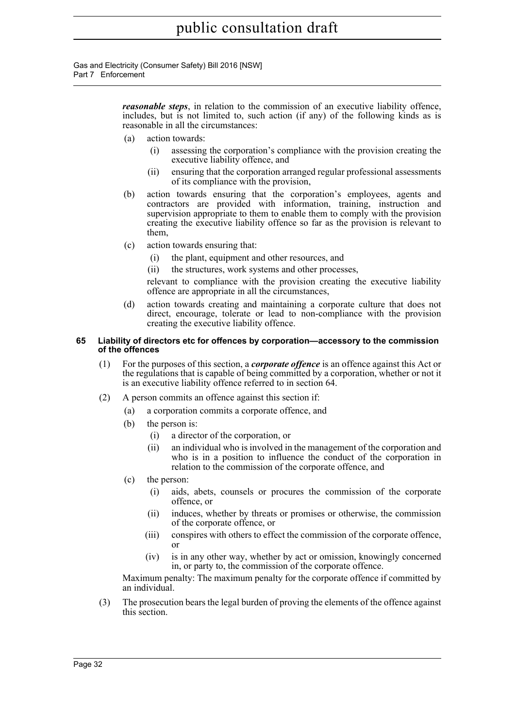Gas and Electricity (Consumer Safety) Bill 2016 [NSW] Part 7 Enforcement

> *reasonable steps*, in relation to the commission of an executive liability offence, includes, but is not limited to, such action (if any) of the following kinds as is reasonable in all the circumstances:

- (a) action towards:
	- (i) assessing the corporation's compliance with the provision creating the executive liability offence, and
	- (ii) ensuring that the corporation arranged regular professional assessments of its compliance with the provision,
- (b) action towards ensuring that the corporation's employees, agents and contractors are provided with information, training, instruction and supervision appropriate to them to enable them to comply with the provision creating the executive liability offence so far as the provision is relevant to them,
- (c) action towards ensuring that:
	- (i) the plant, equipment and other resources, and
	- (ii) the structures, work systems and other processes,

relevant to compliance with the provision creating the executive liability offence are appropriate in all the circumstances,

(d) action towards creating and maintaining a corporate culture that does not direct, encourage, tolerate or lead to non-compliance with the provision creating the executive liability offence.

#### <span id="page-46-0"></span>**65 Liability of directors etc for offences by corporation—accessory to the commission of the offences**

- (1) For the purposes of this section, a *corporate offence* is an offence against this Act or the regulations that is capable of being committed by a corporation, whether or not it is an executive liability offence referred to in section 64.
- (2) A person commits an offence against this section if:
	- (a) a corporation commits a corporate offence, and
	- (b) the person is:
		- (i) a director of the corporation, or
		- (ii) an individual who is involved in the management of the corporation and who is in a position to influence the conduct of the corporation in relation to the commission of the corporate offence, and
	- (c) the person:
		- (i) aids, abets, counsels or procures the commission of the corporate offence, or
		- (ii) induces, whether by threats or promises or otherwise, the commission of the corporate offence, or
		- (iii) conspires with others to effect the commission of the corporate offence, or
		- (iv) is in any other way, whether by act or omission, knowingly concerned in, or party to, the commission of the corporate offence.

Maximum penalty: The maximum penalty for the corporate offence if committed by an individual.

(3) The prosecution bears the legal burden of proving the elements of the offence against this section.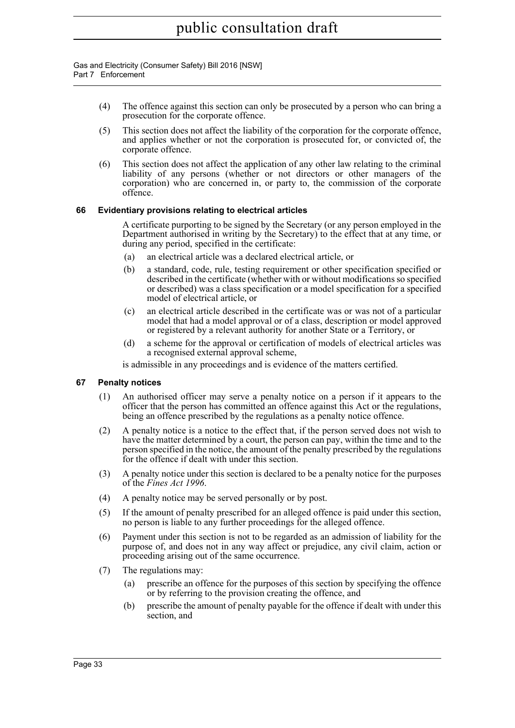- (4) The offence against this section can only be prosecuted by a person who can bring a prosecution for the corporate offence.
- (5) This section does not affect the liability of the corporation for the corporate offence, and applies whether or not the corporation is prosecuted for, or convicted of, the corporate offence.
- (6) This section does not affect the application of any other law relating to the criminal liability of any persons (whether or not directors or other managers of the corporation) who are concerned in, or party to, the commission of the corporate offence.

#### <span id="page-47-0"></span>**66 Evidentiary provisions relating to electrical articles**

A certificate purporting to be signed by the Secretary (or any person employed in the Department authorised in writing by the Secretary) to the effect that at any time, or during any period, specified in the certificate:

- (a) an electrical article was a declared electrical article, or
- (b) a standard, code, rule, testing requirement or other specification specified or described in the certificate (whether with or without modifications so specified or described) was a class specification or a model specification for a specified model of electrical article, or
- (c) an electrical article described in the certificate was or was not of a particular model that had a model approval or of a class, description or model approved or registered by a relevant authority for another State or a Territory, or
- (d) a scheme for the approval or certification of models of electrical articles was a recognised external approval scheme,

is admissible in any proceedings and is evidence of the matters certified.

#### <span id="page-47-1"></span>**67 Penalty notices**

- (1) An authorised officer may serve a penalty notice on a person if it appears to the officer that the person has committed an offence against this Act or the regulations, being an offence prescribed by the regulations as a penalty notice offence.
- (2) A penalty notice is a notice to the effect that, if the person served does not wish to have the matter determined by a court, the person can pay, within the time and to the person specified in the notice, the amount of the penalty prescribed by the regulations for the offence if dealt with under this section.
- (3) A penalty notice under this section is declared to be a penalty notice for the purposes of the *Fines Act 1996*.
- (4) A penalty notice may be served personally or by post.
- (5) If the amount of penalty prescribed for an alleged offence is paid under this section, no person is liable to any further proceedings for the alleged offence.
- (6) Payment under this section is not to be regarded as an admission of liability for the purpose of, and does not in any way affect or prejudice, any civil claim, action or proceeding arising out of the same occurrence.
- (7) The regulations may:
	- (a) prescribe an offence for the purposes of this section by specifying the offence or by referring to the provision creating the offence, and
	- (b) prescribe the amount of penalty payable for the offence if dealt with under this section, and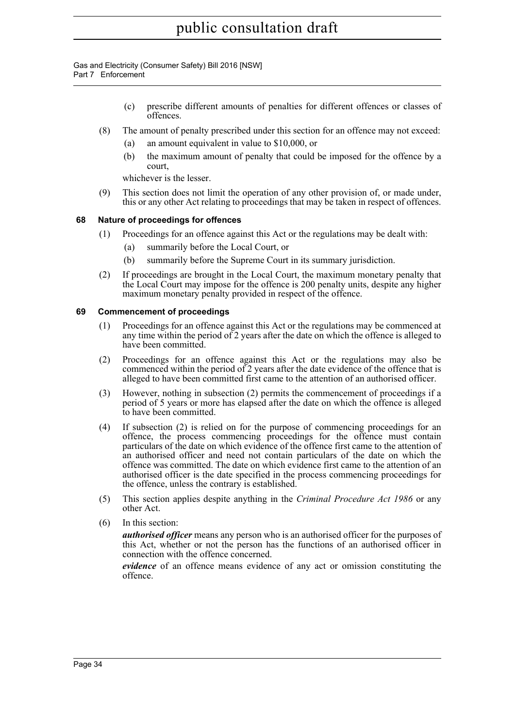Gas and Electricity (Consumer Safety) Bill 2016 [NSW] Part 7 Enforcement

- (c) prescribe different amounts of penalties for different offences or classes of offences.
- (8) The amount of penalty prescribed under this section for an offence may not exceed:
	- an amount equivalent in value to  $$10,000$ , or
	- (b) the maximum amount of penalty that could be imposed for the offence by a court,

whichever is the lesser.

(9) This section does not limit the operation of any other provision of, or made under, this or any other Act relating to proceedings that may be taken in respect of offences.

#### <span id="page-48-0"></span>**68 Nature of proceedings for offences**

- (1) Proceedings for an offence against this Act or the regulations may be dealt with:
	- (a) summarily before the Local Court, or
	- (b) summarily before the Supreme Court in its summary jurisdiction.
- (2) If proceedings are brought in the Local Court, the maximum monetary penalty that the Local Court may impose for the offence is 200 penalty units, despite any higher maximum monetary penalty provided in respect of the offence.

#### <span id="page-48-1"></span>**69 Commencement of proceedings**

- (1) Proceedings for an offence against this Act or the regulations may be commenced at any time within the period of 2 years after the date on which the offence is alleged to have been committed.
- (2) Proceedings for an offence against this Act or the regulations may also be commenced within the period of  $\tilde{2}$  years after the date evidence of the offence that is alleged to have been committed first came to the attention of an authorised officer.
- (3) However, nothing in subsection (2) permits the commencement of proceedings if a period of 5 years or more has elapsed after the date on which the offence is alleged to have been committed.
- (4) If subsection (2) is relied on for the purpose of commencing proceedings for an offence, the process commencing proceedings for the offence must contain particulars of the date on which evidence of the offence first came to the attention of an authorised officer and need not contain particulars of the date on which the offence was committed. The date on which evidence first came to the attention of an authorised officer is the date specified in the process commencing proceedings for the offence, unless the contrary is established.
- (5) This section applies despite anything in the *Criminal Procedure Act 1986* or any other Act.
- (6) In this section:

*authorised officer* means any person who is an authorised officer for the purposes of this Act, whether or not the person has the functions of an authorised officer in connection with the offence concerned.

*evidence* of an offence means evidence of any act or omission constituting the offence.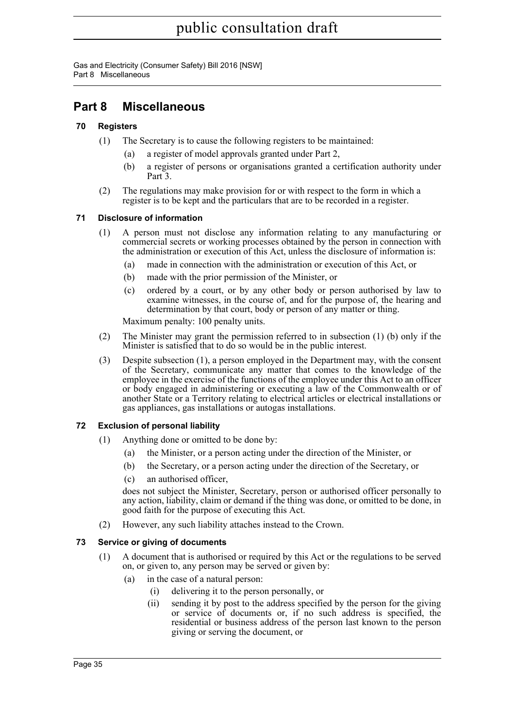Gas and Electricity (Consumer Safety) Bill 2016 [NSW] Part 8 Miscellaneous

### <span id="page-49-0"></span>**Part 8 Miscellaneous**

#### <span id="page-49-1"></span>**70 Registers**

- (1) The Secretary is to cause the following registers to be maintained:
	- (a) a register of model approvals granted under Part 2,
	- (b) a register of persons or organisations granted a certification authority under Part 3.
- (2) The regulations may make provision for or with respect to the form in which a register is to be kept and the particulars that are to be recorded in a register.

#### <span id="page-49-2"></span>**71 Disclosure of information**

- (1) A person must not disclose any information relating to any manufacturing or commercial secrets or working processes obtained by the person in connection with the administration or execution of this Act, unless the disclosure of information is:
	- (a) made in connection with the administration or execution of this Act, or
	- (b) made with the prior permission of the Minister, or
	- (c) ordered by a court, or by any other body or person authorised by law to examine witnesses, in the course of, and for the purpose of, the hearing and determination by that court, body or person of any matter or thing.

Maximum penalty: 100 penalty units.

- (2) The Minister may grant the permission referred to in subsection (1) (b) only if the Minister is satisfied that to do so would be in the public interest.
- (3) Despite subsection (1), a person employed in the Department may, with the consent of the Secretary, communicate any matter that comes to the knowledge of the employee in the exercise of the functions of the employee under this Act to an officer or body engaged in administering or executing a law of the Commonwealth or of another State or a Territory relating to electrical articles or electrical installations or gas appliances, gas installations or autogas installations.

#### <span id="page-49-3"></span>**72 Exclusion of personal liability**

- (1) Anything done or omitted to be done by:
	- (a) the Minister, or a person acting under the direction of the Minister, or
	- (b) the Secretary, or a person acting under the direction of the Secretary, or
	- (c) an authorised officer,

does not subject the Minister, Secretary, person or authorised officer personally to any action, liability, claim or demand if the thing was done, or omitted to be done, in good faith for the purpose of executing this Act.

(2) However, any such liability attaches instead to the Crown.

#### <span id="page-49-4"></span>**73 Service or giving of documents**

- (1) A document that is authorised or required by this Act or the regulations to be served on, or given to, any person may be served or given by:
	- (a) in the case of a natural person:
		- (i) delivering it to the person personally, or
		- (ii) sending it by post to the address specified by the person for the giving or service of documents or, if no such address is specified, the residential or business address of the person last known to the person giving or serving the document, or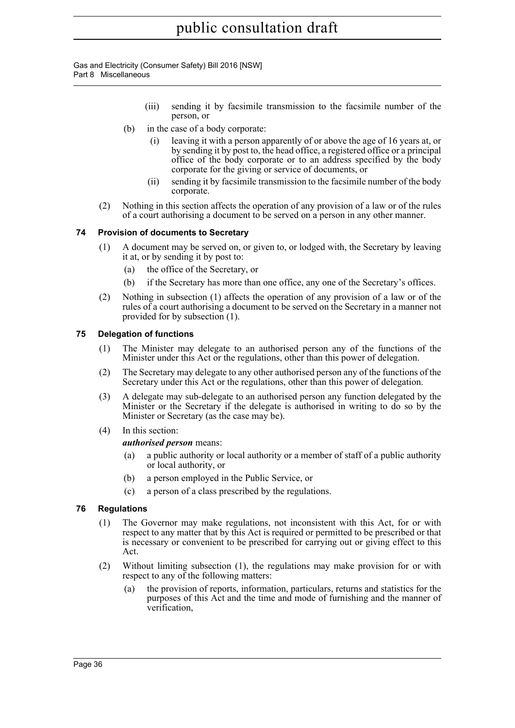Gas and Electricity (Consumer Safety) Bill 2016 [NSW] Part 8 Miscellaneous

- (iii) sending it by facsimile transmission to the facsimile number of the person, or
- (b) in the case of a body corporate:
	- (i) leaving it with a person apparently of or above the age of 16 years at, or by sending it by post to, the head office, a registered office or a principal office of the body corporate or to an address specified by the body corporate for the giving or service of documents, or
	- (ii) sending it by facsimile transmission to the facsimile number of the body corporate.
- (2) Nothing in this section affects the operation of any provision of a law or of the rules of a court authorising a document to be served on a person in any other manner.

#### <span id="page-50-0"></span>**74 Provision of documents to Secretary**

- (1) A document may be served on, or given to, or lodged with, the Secretary by leaving it at, or by sending it by post to:
	- (a) the office of the Secretary, or
	- (b) if the Secretary has more than one office, any one of the Secretary's offices.
- (2) Nothing in subsection (1) affects the operation of any provision of a law or of the rules of a court authorising a document to be served on the Secretary in a manner not provided for by subsection (1).

#### <span id="page-50-1"></span>**75 Delegation of functions**

- (1) The Minister may delegate to an authorised person any of the functions of the Minister under this Act or the regulations, other than this power of delegation.
- (2) The Secretary may delegate to any other authorised person any of the functions of the Secretary under this Act or the regulations, other than this power of delegation.
- (3) A delegate may sub-delegate to an authorised person any function delegated by the Minister or the Secretary if the delegate is authorised in writing to do so by the Minister or Secretary (as the case may be).
- (4) In this section:

#### *authorised person* means:

- (a) a public authority or local authority or a member of staff of a public authority or local authority, or
- (b) a person employed in the Public Service, or
- (c) a person of a class prescribed by the regulations.

#### <span id="page-50-2"></span>**76 Regulations**

- (1) The Governor may make regulations, not inconsistent with this Act, for or with respect to any matter that by this Act is required or permitted to be prescribed or that is necessary or convenient to be prescribed for carrying out or giving effect to this Act.
- (2) Without limiting subsection (1), the regulations may make provision for or with respect to any of the following matters:
	- (a) the provision of reports, information, particulars, returns and statistics for the purposes of this Act and the time and mode of furnishing and the manner of verification,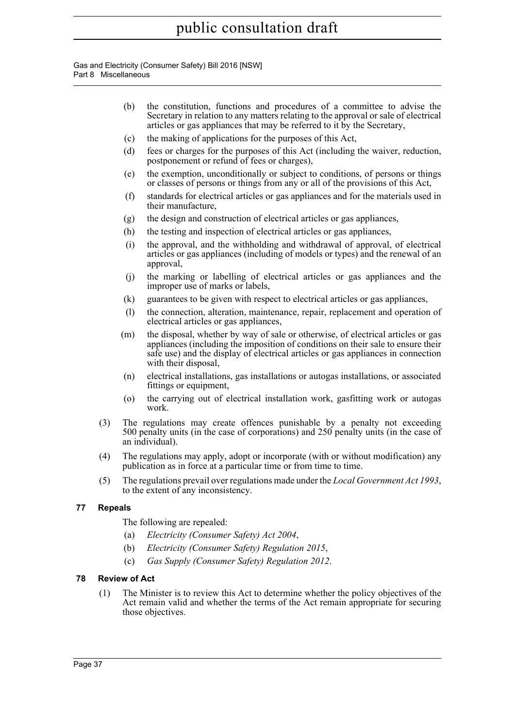Gas and Electricity (Consumer Safety) Bill 2016 [NSW] Part 8 Miscellaneous

- (b) the constitution, functions and procedures of a committee to advise the Secretary in relation to any matters relating to the approval or sale of electrical articles or gas appliances that may be referred to it by the Secretary,
- (c) the making of applications for the purposes of this Act,
- (d) fees or charges for the purposes of this Act (including the waiver, reduction, postponement or refund of fees or charges),
- (e) the exemption, unconditionally or subject to conditions, of persons or things or classes of persons or things from any or all of the provisions of this Act,
- (f) standards for electrical articles or gas appliances and for the materials used in their manufacture,
- (g) the design and construction of electrical articles or gas appliances,
- (h) the testing and inspection of electrical articles or gas appliances,
- (i) the approval, and the withholding and withdrawal of approval, of electrical articles or gas appliances (including of models or types) and the renewal of an approval,
- (j) the marking or labelling of electrical articles or gas appliances and the improper use of marks or labels,
- (k) guarantees to be given with respect to electrical articles or gas appliances,
- (l) the connection, alteration, maintenance, repair, replacement and operation of electrical articles or gas appliances,
- (m) the disposal, whether by way of sale or otherwise, of electrical articles or gas appliances (including the imposition of conditions on their sale to ensure their safe use) and the display of electrical articles or gas appliances in connection with their disposal,
- (n) electrical installations, gas installations or autogas installations, or associated fittings or equipment,
- (o) the carrying out of electrical installation work, gasfitting work or autogas work.
- (3) The regulations may create offences punishable by a penalty not exceeding 500 penalty units (in the case of corporations) and 250 penalty units (in the case of an individual).
- (4) The regulations may apply, adopt or incorporate (with or without modification) any publication as in force at a particular time or from time to time.
- (5) The regulations prevail over regulations made under the *Local Government Act 1993*, to the extent of any inconsistency.

#### <span id="page-51-0"></span>**77 Repeals**

The following are repealed:

- (a) *Electricity (Consumer Safety) Act 2004*,
- (b) *Electricity (Consumer Safety) Regulation 2015*,
- (c) *Gas Supply (Consumer Safety) Regulation 2012*.

#### <span id="page-51-1"></span>**78 Review of Act**

(1) The Minister is to review this Act to determine whether the policy objectives of the Act remain valid and whether the terms of the Act remain appropriate for securing those objectives.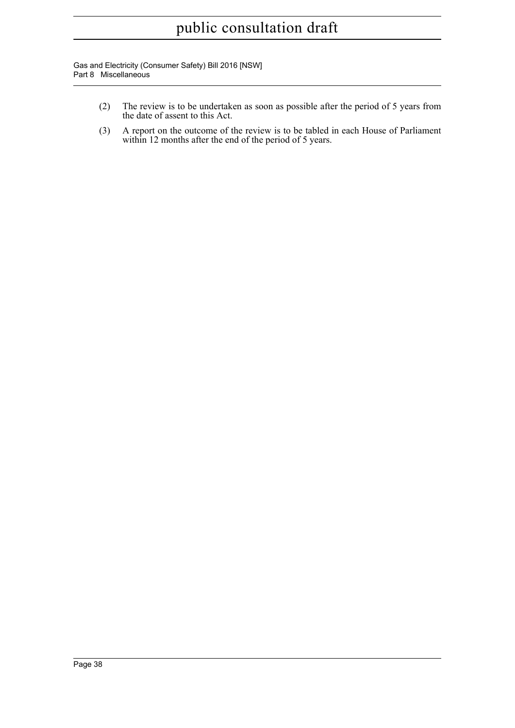Gas and Electricity (Consumer Safety) Bill 2016 [NSW] Part 8 Miscellaneous

- (2) The review is to be undertaken as soon as possible after the period of 5 years from the date of assent to this Act.
- (3) A report on the outcome of the review is to be tabled in each House of Parliament within 12 months after the end of the period of 5 years.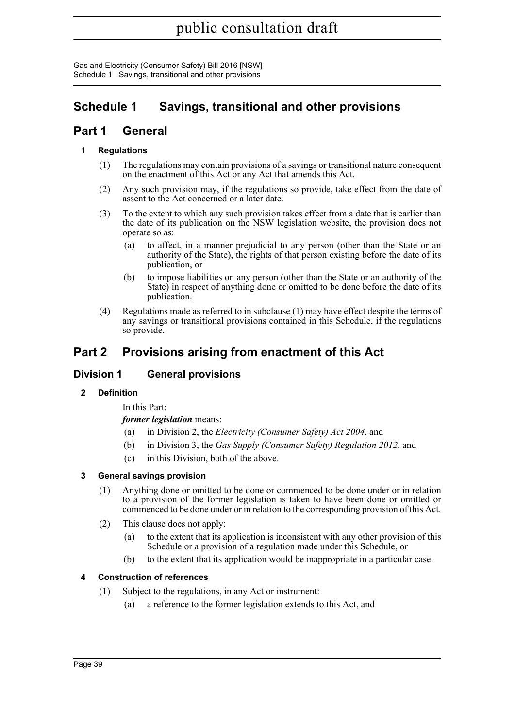### <span id="page-53-0"></span>**Schedule 1 Savings, transitional and other provisions**

### **Part 1 General**

#### **1 Regulations**

- (1) The regulations may contain provisions of a savings or transitional nature consequent on the enactment of this Act or any Act that amends this Act.
- (2) Any such provision may, if the regulations so provide, take effect from the date of assent to the Act concerned or a later date.
- (3) To the extent to which any such provision takes effect from a date that is earlier than the date of its publication on the NSW legislation website, the provision does not operate so as:
	- (a) to affect, in a manner prejudicial to any person (other than the State or an authority of the State), the rights of that person existing before the date of its publication, or
	- (b) to impose liabilities on any person (other than the State or an authority of the State) in respect of anything done or omitted to be done before the date of its publication.
- (4) Regulations made as referred to in subclause (1) may have effect despite the terms of any savings or transitional provisions contained in this Schedule, if the regulations so provide.

### **Part 2 Provisions arising from enactment of this Act**

#### **Division 1 General provisions**

#### **2 Definition**

In this Part:

*former legislation* means:

- (a) in Division 2, the *Electricity (Consumer Safety) Act 2004*, and
- (b) in Division 3, the *Gas Supply (Consumer Safety) Regulation 2012*, and
- (c) in this Division, both of the above.

#### **3 General savings provision**

- (1) Anything done or omitted to be done or commenced to be done under or in relation to a provision of the former legislation is taken to have been done or omitted or commenced to be done under or in relation to the corresponding provision of this Act.
- (2) This clause does not apply:
	- (a) to the extent that its application is inconsistent with any other provision of this Schedule or a provision of a regulation made under this Schedule, or
	- (b) to the extent that its application would be inappropriate in a particular case.

#### **4 Construction of references**

- (1) Subject to the regulations, in any Act or instrument:
	- (a) a reference to the former legislation extends to this Act, and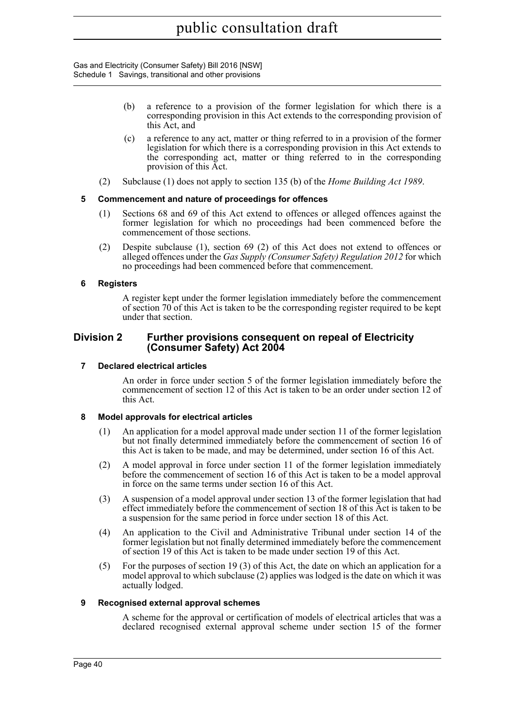- (b) a reference to a provision of the former legislation for which there is a corresponding provision in this Act extends to the corresponding provision of this Act, and
- (c) a reference to any act, matter or thing referred to in a provision of the former legislation for which there is a corresponding provision in this Act extends to the corresponding act, matter or thing referred to in the corresponding provision of this Act.
- (2) Subclause (1) does not apply to section 135 (b) of the *Home Building Act 1989*.

#### **5 Commencement and nature of proceedings for offences**

- (1) Sections 68 and 69 of this Act extend to offences or alleged offences against the former legislation for which no proceedings had been commenced before the commencement of those sections.
- (2) Despite subclause (1), section 69 (2) of this Act does not extend to offences or alleged offences under the *Gas Supply (Consumer Safety) Regulation 2012* for which no proceedings had been commenced before that commencement.

#### **6 Registers**

A register kept under the former legislation immediately before the commencement of section 70 of this Act is taken to be the corresponding register required to be kept under that section.

#### **Division 2 Further provisions consequent on repeal of Electricity (Consumer Safety) Act 2004**

#### **7 Declared electrical articles**

An order in force under section 5 of the former legislation immediately before the commencement of section 12 of this Act is taken to be an order under section 12 of this Act.

#### **8 Model approvals for electrical articles**

- (1) An application for a model approval made under section 11 of the former legislation but not finally determined immediately before the commencement of section 16 of this Act is taken to be made, and may be determined, under section 16 of this Act.
- (2) A model approval in force under section 11 of the former legislation immediately before the commencement of section 16 of this Act is taken to be a model approval in force on the same terms under section 16 of this Act.
- (3) A suspension of a model approval under section 13 of the former legislation that had effect immediately before the commencement of section 18 of this Act is taken to be a suspension for the same period in force under section 18 of this Act.
- (4) An application to the Civil and Administrative Tribunal under section 14 of the former legislation but not finally determined immediately before the commencement of section 19 of this Act is taken to be made under section 19 of this Act.
- (5) For the purposes of section 19 (3) of this Act, the date on which an application for a model approval to which subclause (2) applies was lodged is the date on which it was actually lodged.

#### **9 Recognised external approval schemes**

A scheme for the approval or certification of models of electrical articles that was a declared recognised external approval scheme under section 15 of the former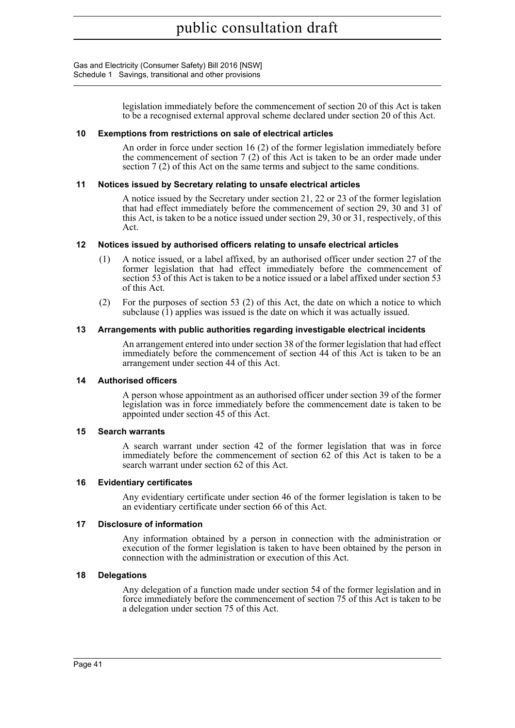> legislation immediately before the commencement of section 20 of this Act is taken to be a recognised external approval scheme declared under section 20 of this Act.

#### **10 Exemptions from restrictions on sale of electrical articles**

An order in force under section 16 (2) of the former legislation immediately before the commencement of section 7 (2) of this Act is taken to be an order made under section 7 (2) of this Act on the same terms and subject to the same conditions.

#### **11 Notices issued by Secretary relating to unsafe electrical articles**

A notice issued by the Secretary under section 21, 22 or 23 of the former legislation that had effect immediately before the commencement of section 29, 30 and 31 of this Act, is taken to be a notice issued under section 29, 30 or 31, respectively, of this Act.

#### **12 Notices issued by authorised officers relating to unsafe electrical articles**

- (1) A notice issued, or a label affixed, by an authorised officer under section 27 of the former legislation that had effect immediately before the commencement of section 53 of this Act is taken to be a notice issued or a label affixed under section 53 of this Act.
- (2) For the purposes of section 53 (2) of this Act, the date on which a notice to which subclause (1) applies was issued is the date on which it was actually issued.

#### **13 Arrangements with public authorities regarding investigable electrical incidents**

An arrangement entered into under section 38 of the former legislation that had effect immediately before the commencement of section 44 of this Act is taken to be an arrangement under section 44 of this Act.

#### **14 Authorised officers**

A person whose appointment as an authorised officer under section 39 of the former legislation was in force immediately before the commencement date is taken to be appointed under section 45 of this Act.

#### **15 Search warrants**

A search warrant under section 42 of the former legislation that was in force immediately before the commencement of section 62 of this Act is taken to be a search warrant under section 62 of this Act.

#### **16 Evidentiary certificates**

Any evidentiary certificate under section 46 of the former legislation is taken to be an evidentiary certificate under section 66 of this Act.

#### **17 Disclosure of information**

Any information obtained by a person in connection with the administration or execution of the former legislation is taken to have been obtained by the person in connection with the administration or execution of this Act.

#### **18 Delegations**

Any delegation of a function made under section 54 of the former legislation and in force immediately before the commencement of section 75 of this Act is taken to be a delegation under section 75 of this Act.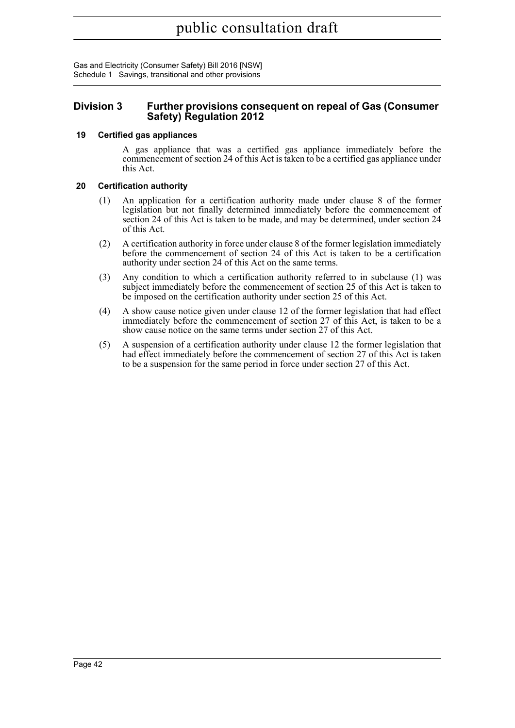#### **Division 3 Further provisions consequent on repeal of Gas (Consumer Safety) Regulation 2012**

#### **19 Certified gas appliances**

A gas appliance that was a certified gas appliance immediately before the commencement of section 24 of this Act is taken to be a certified gas appliance under this Act.

#### **20 Certification authority**

- (1) An application for a certification authority made under clause 8 of the former legislation but not finally determined immediately before the commencement of section 24 of this Act is taken to be made, and may be determined, under section 24 of this Act.
- (2) A certification authority in force under clause 8 of the former legislation immediately before the commencement of section 24 of this Act is taken to be a certification authority under section 24 of this Act on the same terms.
- (3) Any condition to which a certification authority referred to in subclause (1) was subject immediately before the commencement of section 25 of this Act is taken to be imposed on the certification authority under section 25 of this Act.
- (4) A show cause notice given under clause 12 of the former legislation that had effect immediately before the commencement of section 27 of this Act, is taken to be a show cause notice on the same terms under section 27 of this Act.
- (5) A suspension of a certification authority under clause 12 the former legislation that had effect immediately before the commencement of section 27 of this Act is taken to be a suspension for the same period in force under section 27 of this Act.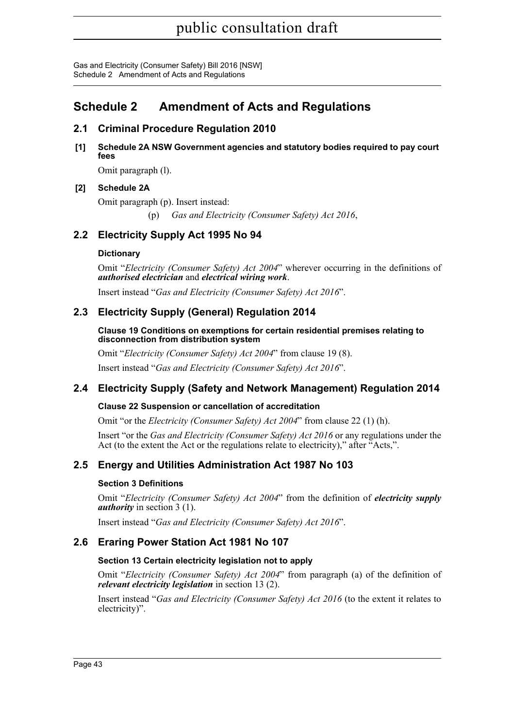Gas and Electricity (Consumer Safety) Bill 2016 [NSW] Schedule 2 Amendment of Acts and Regulations

### <span id="page-57-0"></span>**Schedule 2 Amendment of Acts and Regulations**

#### **2.1 Criminal Procedure Regulation 2010**

**[1] Schedule 2A NSW Government agencies and statutory bodies required to pay court fees**

Omit paragraph (l).

#### **[2] Schedule 2A**

Omit paragraph (p). Insert instead:

(p) *Gas and Electricity (Consumer Safety) Act 2016*,

#### **2.2 Electricity Supply Act 1995 No 94**

#### **Dictionary**

Omit "*Electricity (Consumer Safety) Act 2004*" wherever occurring in the definitions of *authorised electrician* and *electrical wiring work*.

Insert instead "*Gas and Electricity (Consumer Safety) Act 2016*".

#### **2.3 Electricity Supply (General) Regulation 2014**

**Clause 19 Conditions on exemptions for certain residential premises relating to disconnection from distribution system**

Omit "*Electricity (Consumer Safety) Act 2004*" from clause 19 (8).

Insert instead "*Gas and Electricity (Consumer Safety) Act 2016*".

#### **2.4 Electricity Supply (Safety and Network Management) Regulation 2014**

#### **Clause 22 Suspension or cancellation of accreditation**

Omit "or the *Electricity (Consumer Safety) Act 2004*" from clause 22 (1) (h).

Insert "or the *Gas and Electricity (Consumer Safety) Act 2016* or any regulations under the Act (to the extent the Act or the regulations relate to electricity)," after "Acts,".

#### **2.5 Energy and Utilities Administration Act 1987 No 103**

#### **Section 3 Definitions**

Omit "*Electricity (Consumer Safety) Act 2004*" from the definition of *electricity supply authority* in section 3 (1).

Insert instead "*Gas and Electricity (Consumer Safety) Act 2016*".

#### **2.6 Eraring Power Station Act 1981 No 107**

#### **Section 13 Certain electricity legislation not to apply**

Omit "*Electricity (Consumer Safety) Act 2004*" from paragraph (a) of the definition of *relevant electricity legislation* in section 13 (2).

Insert instead "*Gas and Electricity (Consumer Safety) Act 2016* (to the extent it relates to electricity)".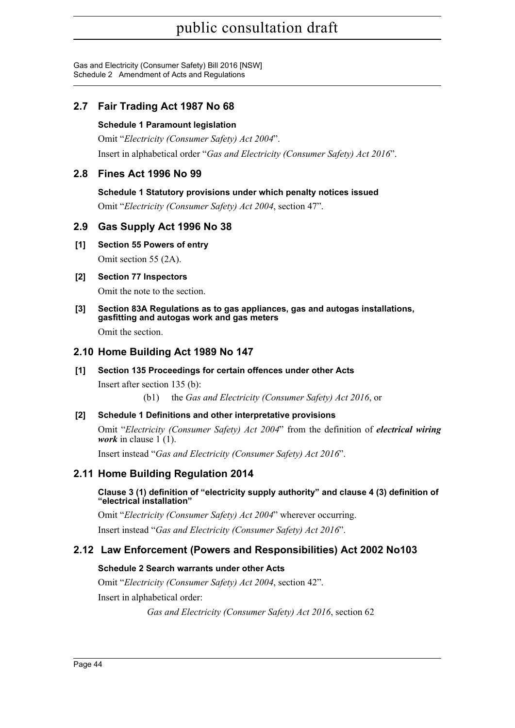Gas and Electricity (Consumer Safety) Bill 2016 [NSW] Schedule 2 Amendment of Acts and Regulations

### **2.7 Fair Trading Act 1987 No 68**

#### **Schedule 1 Paramount legislation**

Omit "*Electricity (Consumer Safety) Act 2004*". Insert in alphabetical order "*Gas and Electricity (Consumer Safety) Act 2016*".

#### **2.8 Fines Act 1996 No 99**

#### **Schedule 1 Statutory provisions under which penalty notices issued**

Omit "*Electricity (Consumer Safety) Act 2004*, section 47".

#### **2.9 Gas Supply Act 1996 No 38**

#### **[1] Section 55 Powers of entry**

Omit section 55 (2A).

#### **[2] Section 77 Inspectors**

Omit the note to the section.

#### **[3] Section 83A Regulations as to gas appliances, gas and autogas installations, gasfitting and autogas work and gas meters**

Omit the section.

#### **2.10 Home Building Act 1989 No 147**

#### **[1] Section 135 Proceedings for certain offences under other Acts**

Insert after section 135 (b):

(b1) the *Gas and Electricity (Consumer Safety) Act 2016*, or

#### **[2] Schedule 1 Definitions and other interpretative provisions**

Omit "*Electricity (Consumer Safety) Act 2004*" from the definition of *electrical wiring work* in clause  $1(1)$ .

Insert instead "*Gas and Electricity (Consumer Safety) Act 2016*".

#### **2.11 Home Building Regulation 2014**

#### **Clause 3 (1) definition of "electricity supply authority" and clause 4 (3) definition of "electrical installation"**

Omit "*Electricity (Consumer Safety) Act 2004*" wherever occurring. Insert instead "*Gas and Electricity (Consumer Safety) Act 2016*".

#### **2.12 Law Enforcement (Powers and Responsibilities) Act 2002 No103**

#### **Schedule 2 Search warrants under other Acts**

Omit "*Electricity (Consumer Safety) Act 2004*, section 42". Insert in alphabetical order:

*Gas and Electricity (Consumer Safety) Act 2016*, section 62